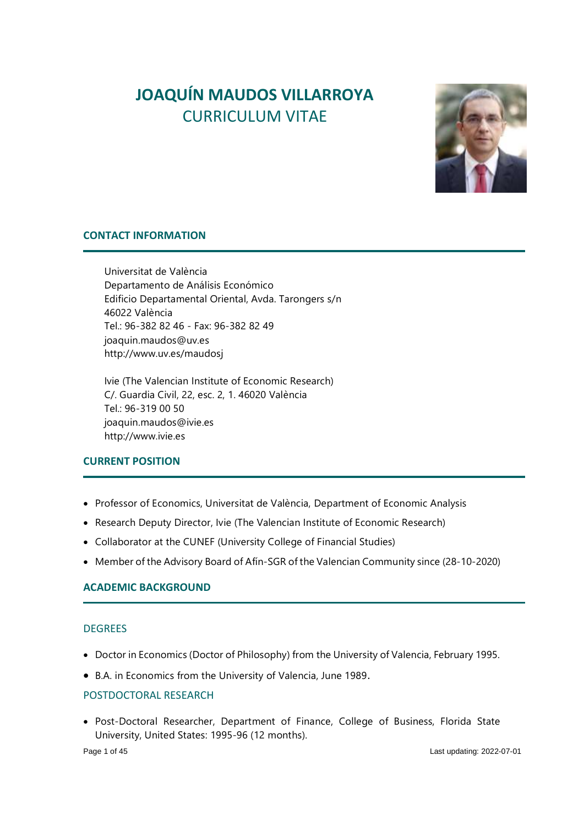# **JOAQUÍN MAUDOS VILLARROYA** CURRICULUM VITAE



# **CONTACT INFORMATION**

Universitat de València Departamento de Análisis Económico Edificio Departamental Oriental, Avda. Tarongers s/n 46022 València Tel.: 96-382 82 46 - Fax: 96-382 82 49 joaquin.maudos@uv.es http://www.uv.es/maudosj

Ivie (The Valencian Institute of Economic Research) C/. Guardia Civil, 22, esc. 2, 1. 46020 València Tel.: 96-319 00 50 joaquin.maudos@ivie.es http://www.ivie.es

#### **CURRENT POSITION**

- Professor of Economics, Universitat de València, Department of Economic Analysis
- Research Deputy Director, Ivie (The Valencian Institute of Economic Research)
- Collaborator at the CUNEF (University College of Financial Studies)
- Member of the Advisory Board of Afín-SGR of the Valencian Community since (28-10-2020)

# **ACADEMIC BACKGROUND**

#### **DEGREES**

- Doctor in Economics (Doctor of Philosophy) from the University of Valencia, February 1995.
- B.A. in Economics from the University of Valencia, June 1989.

## POSTDOCTORAL RESEARCH

• Post-Doctoral Researcher, Department of Finance, College of Business, Florida State University, United States: 1995-96 (12 months).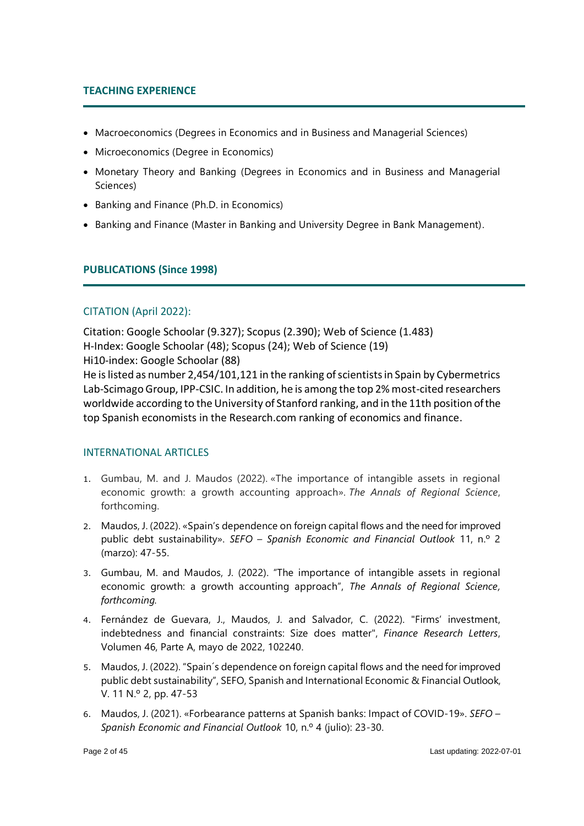# **TEACHING EXPERIENCE**

- Macroeconomics (Degrees in Economics and in Business and Managerial Sciences)
- Microeconomics (Degree in Economics)
- Monetary Theory and Banking (Degrees in Economics and in Business and Managerial Sciences)
- Banking and Finance (Ph.D. in Economics)
- Banking and Finance (Master in Banking and University Degree in Bank Management).

# **PUBLICATIONS (Since 1998)**

# CITATION (April 2022):

Citation: Google Schoolar (9.327); Scopus (2.390); Web of Science (1.483) H-Index: Google Schoolar (48); Scopus (24); Web of Science (19) Hi10-index: Google Schoolar (88)

He is listed as number 2,454/101,121 in the ranking of scientists in Spain by Cybermetrics Lab-ScimagoGroup, IPP-CSIC. In addition, he is among the top 2% most-cited researchers worldwide according to the University of Stanford ranking, and in the 11th position of the top Spanish economists in the Research.com ranking of economics and finance.

#### INTERNATIONAL ARTICLES

- 1. Gumbau, M. and J. Maudos (2022). «The importance of intangible assets in regional economic growth: a growth accounting approach». *The Annals of Regional Science*, forthcoming.
- 2. Maudos, J. (2022). «Spain's dependence on foreign capital flows and the need for improved public debt sustainability». *SEFO – Spanish Economic and Financial Outlook* 11, n.º 2 (marzo): 47-55.
- 3. Gumbau, M. and Maudos, J. (2022). "The importance of intangible assets in regional economic growth: a growth accounting approach", *The Annals of Regional Science, forthcoming.*
- 4. Fernández de Guevara, J., Maudos, J. and Salvador, C. (2022). "Firms' investment, indebtedness and financial constraints: Size does matter", *Finance Research Letters*, Volumen 46, Parte A, mayo de 2022, 102240.
- 5. Maudos, J. (2022). "Spain´s dependence on foreign capital flows and the need for improved public debt sustainability", SEFO, Spanish and International Economic & Financial Outlook, V. 11 N.º 2, pp. 47-53
- 6. Maudos, J. (2021). «Forbearance patterns at Spanish banks: Impact of COVID-19». *SEFO – Spanish Economic and Financial Outlook* 10, n.º 4 (julio): 23-30.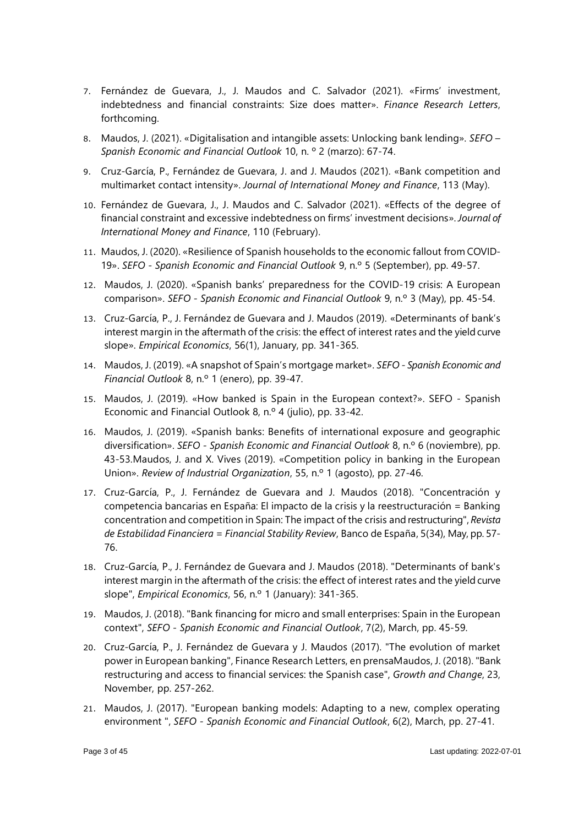- 7. Fernández de Guevara, J., J. Maudos and C. Salvador (2021). «Firms' investment, indebtedness and financial constraints: Size does matter». *Finance Research Letters*, forthcoming.
- 8. Maudos, J. (2021). «Digitalisation and intangible assets: Unlocking bank lending». *SEFO – Spanish Economic and Financial Outlook* 10, n. º 2 (marzo): 67-74.
- 9. Cruz-García, P., Fernández de Guevara, J. and J. Maudos (2021). «Bank competition and multimarket contact intensity». *Journal of International Money and Finance*, 113 (May).
- 10. Fernández de Guevara, J., J. Maudos and C. Salvador (2021). «Effects of the degree of financial constraint and excessive indebtedness on firms' investment decisions». *Journal of International Money and Finance*, 110 (February).
- 11. Maudos, J. (2020). «Resilience of Spanish households to the economic fallout from COVID-19». *SEFO - Spanish Economic and Financial Outlook* 9, n.º 5 (September), pp. 49-57.
- 12. Maudos, J. (2020). «Spanish banks' preparedness for the COVID-19 crisis: A European comparison». *SEFO - Spanish Economic and Financial Outlook* 9, n.º 3 (May), pp. 45-54.
- 13. Cruz-García, P., J. Fernández de Guevara and J. Maudos (2019). «Determinants of bank's interest margin in the aftermath of the crisis: the effect of interest rates and the yield curve slope». *Empirical Economics*, 56(1), January, pp. 341-365.
- 14. Maudos, J. (2019). «A snapshot of Spain's mortgage market». *SEFO - Spanish Economic and Financial Outlook* 8, n.º 1 (enero), pp. 39-47.
- 15. Maudos, J. (2019). «How banked is Spain in the European context?». SEFO Spanish Economic and Financial Outlook 8, n.º 4 (julio), pp. 33-42.
- 16. Maudos, J. (2019). «Spanish banks: Benefits of international exposure and geographic diversification». *SEFO - Spanish Economic and Financial Outlook* 8, n.º 6 (noviembre), pp. 43-53.Maudos, J. and X. Vives (2019). «Competition policy in banking in the European Union». *Review of Industrial Organization*, 55, n.º 1 (agosto), pp. 27-46.
- 17. Cruz-García, P., J. Fernández de Guevara and J. Maudos (2018). "Concentración y competencia bancarias en España: El impacto de la crisis y la reestructuración = Banking concentration and competition in Spain: The impact of the crisis and restructuring", *Revista de Estabilidad Financiera = Financial Stability Review*, Banco de España, 5(34), May, pp. 57- 76.
- 18. Cruz-García, P., J. Fernández de Guevara and J. Maudos (2018). "Determinants of bank's interest margin in the aftermath of the crisis: the effect of interest rates and the yield curve slope", *Empirical Economics*, 56, n.º 1 (January): 341-365.
- 19. Maudos, J. (2018). "Bank financing for micro and small enterprises: Spain in the European context", *SEFO - Spanish Economic and Financial Outlook*, 7(2), March, pp. 45-59.
- 20. Cruz-García, P., J. Fernández de Guevara y J. Maudos (2017). "The evolution of market power in European banking", Finance Research Letters, en prensaMaudos, J. (2018). "Bank restructuring and access to financial services: the Spanish case", *Growth and Change*, 23, November, pp. 257-262.
- 21. Maudos, J. (2017). "European banking models: Adapting to a new, complex operating environment ", *SEFO - Spanish Economic and Financial Outlook*, 6(2), March, pp. 27-41.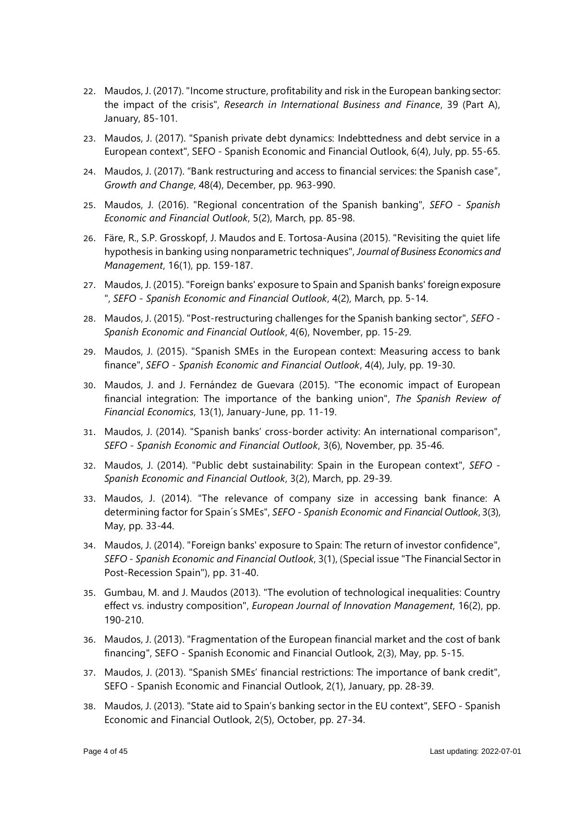- 22. Maudos, J. (2017). "Income structure, profitability and risk in the European banking sector: the impact of the crisis", *Research in International Business and Finance*, 39 (Part A), January, 85-101.
- 23. Maudos, J. (2017). "Spanish private debt dynamics: Indebttedness and debt service in a European context", SEFO - Spanish Economic and Financial Outlook, 6(4), July, pp. 55-65.
- 24. Maudos, J. (2017). "Bank restructuring and access to financial services: the Spanish case", *Growth and Change*, 48(4), December, pp. 963-990.
- 25. Maudos, J. (2016). "Regional concentration of the Spanish banking", *SEFO - Spanish Economic and Financial Outlook*, 5(2), March, pp. 85-98.
- 26. Färe, R., S.P. Grosskopf, J. Maudos and E. Tortosa-Ausina (2015). "Revisiting the quiet life hypothesis in banking using nonparametric techniques", *Journal of Business Economics and Management*, 16(1), pp. 159-187.
- 27. Maudos, J. (2015). "Foreign banks' exposure to Spain and Spanish banks' foreign exposure ", *SEFO - Spanish Economic and Financial Outlook*, 4(2), March, pp. 5-14.
- 28. Maudos, J. (2015). "Post-restructuring challenges for the Spanish banking sector", *SEFO - Spanish Economic and Financial Outlook*, 4(6), November, pp. 15-29.
- 29. Maudos, J. (2015). "Spanish SMEs in the European context: Measuring access to bank finance", *SEFO - Spanish Economic and Financial Outlook*, 4(4), July, pp. 19-30.
- 30. Maudos, J. and J. Fernández de Guevara (2015). "The economic impact of European financial integration: The importance of the banking union", *The Spanish Review of Financial Economics*, 13(1), January-June, pp. 11-19.
- 31. Maudos, J. (2014). "Spanish banks' cross-border activity: An international comparison", *SEFO - Spanish Economic and Financial Outlook*, 3(6), November, pp. 35-46.
- 32. Maudos, J. (2014). "Public debt sustainability: Spain in the European context", *SEFO - Spanish Economic and Financial Outlook*, 3(2), March, pp. 29-39.
- 33. Maudos, J. (2014). "The relevance of company size in accessing bank finance: A determining factor for Spain´s SMEs", *SEFO - Spanish Economic and Financial Outlook*, 3(3), May, pp. 33-44.
- 34. Maudos, J. (2014). "Foreign banks' exposure to Spain: The return of investor confidence", *SEFO - Spanish Economic and Financial Outlook*, 3(1), (Special issue "The Financial Sector in Post-Recession Spain"), pp. 31-40.
- 35. Gumbau, M. and J. Maudos (2013). "The evolution of technological inequalities: Country effect vs. industry composition", *European Journal of Innovation Management*, 16(2), pp. 190-210.
- 36. Maudos, J. (2013). "Fragmentation of the European financial market and the cost of bank financing", SEFO - Spanish Economic and Financial Outlook, 2(3), May, pp. 5-15.
- 37. Maudos, J. (2013). "Spanish SMEs' financial restrictions: The importance of bank credit", SEFO - Spanish Economic and Financial Outlook, 2(1), January, pp. 28-39.
- 38. Maudos, J. (2013). "State aid to Spain's banking sector in the EU context", SEFO Spanish Economic and Financial Outlook, 2(5), October, pp. 27-34.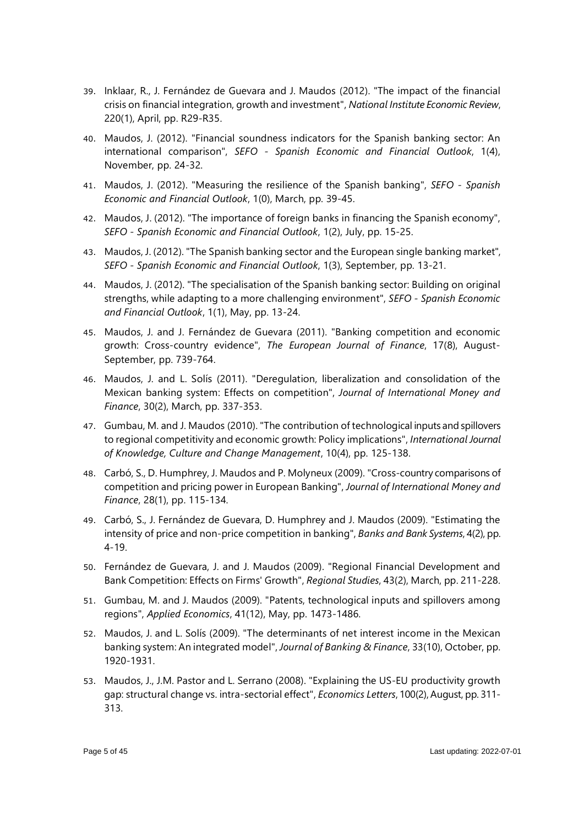- 39. Inklaar, R., J. Fernández de Guevara and J. Maudos (2012). "The impact of the financial crisis on financial integration, growth and investment", *National Institute Economic Review*, 220(1), April, pp. R29-R35.
- 40. Maudos, J. (2012). "Financial soundness indicators for the Spanish banking sector: An international comparison", *SEFO - Spanish Economic and Financial Outlook*, 1(4), November, pp. 24-32.
- 41. Maudos, J. (2012). "Measuring the resilience of the Spanish banking", *SEFO - Spanish Economic and Financial Outlook*, 1(0), March, pp. 39-45.
- 42. Maudos, J. (2012). "The importance of foreign banks in financing the Spanish economy", *SEFO - Spanish Economic and Financial Outlook*, 1(2), July, pp. 15-25.
- 43. Maudos, J. (2012). "The Spanish banking sector and the European single banking market", *SEFO - Spanish Economic and Financial Outlook*, 1(3), September, pp. 13-21.
- 44. Maudos, J. (2012). "The specialisation of the Spanish banking sector: Building on original strengths, while adapting to a more challenging environment", *SEFO - Spanish Economic and Financial Outlook*, 1(1), May, pp. 13-24.
- 45. Maudos, J. and J. Fernández de Guevara (2011). "Banking competition and economic growth: Cross-country evidence", *The European Journal of Finance*, 17(8), August-September, pp. 739-764.
- 46. Maudos, J. and L. Solís (2011). "Deregulation, liberalization and consolidation of the Mexican banking system: Effects on competition", *Journal of International Money and Finance*, 30(2), March, pp. 337-353.
- 47. Gumbau, M. and J. Maudos (2010). "The contribution of technological inputs and spillovers to regional competitivity and economic growth: Policy implications", *International Journal of Knowledge, Culture and Change Management*, 10(4), pp. 125-138.
- 48. Carbó, S., D. Humphrey, J. Maudos and P. Molyneux (2009). "Cross-country comparisons of competition and pricing power in European Banking", *Journal of International Money and Finance*, 28(1), pp. 115-134.
- 49. Carbó, S., J. Fernández de Guevara, D. Humphrey and J. Maudos (2009). "Estimating the intensity of price and non-price competition in banking", *Banks and Bank Systems*, 4(2), pp. 4-19.
- 50. Fernández de Guevara, J. and J. Maudos (2009). "Regional Financial Development and Bank Competition: Effects on Firms' Growth", *Regional Studies*, 43(2), March, pp. 211-228.
- 51. Gumbau, M. and J. Maudos (2009). "Patents, technological inputs and spillovers among regions", *Applied Economics*, 41(12), May, pp. 1473-1486.
- 52. Maudos, J. and L. Solís (2009). "The determinants of net interest income in the Mexican banking system: An integrated model", *Journal of Banking & Finance*, 33(10), October, pp. 1920-1931.
- 53. Maudos, J., J.M. Pastor and L. Serrano (2008). "Explaining the US-EU productivity growth gap: structural change vs. intra-sectorial effect", *Economics Letters*, 100(2), August, pp. 311- 313.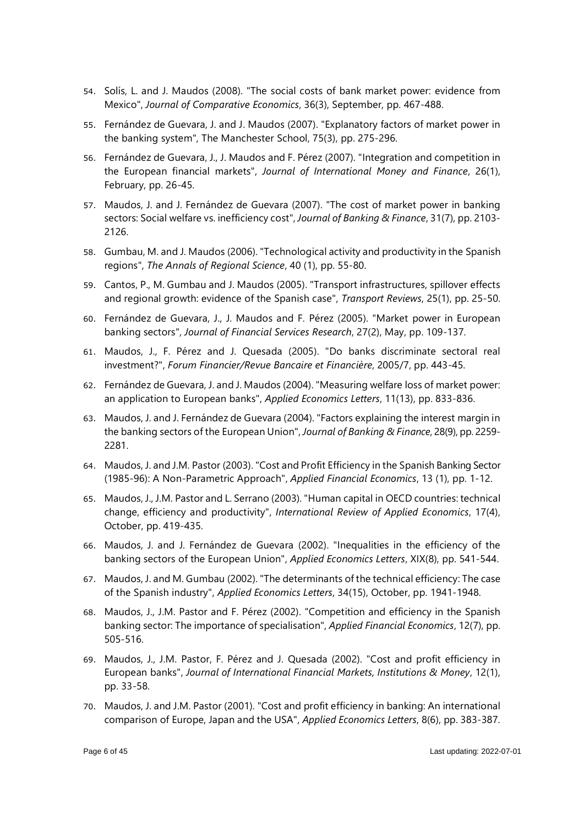- 54. Solís, L. and J. Maudos (2008). "The social costs of bank market power: evidence from Mexico", *Journal of Comparative Economics*, 36(3), September, pp. 467-488.
- 55. Fernández de Guevara, J. and J. Maudos (2007). "Explanatory factors of market power in the banking system", The Manchester School, 75(3), pp. 275-296.
- 56. Fernández de Guevara, J., J. Maudos and F. Pérez (2007). "Integration and competition in the European financial markets", *Journal of International Money and Finance*, 26(1), February, pp. 26-45.
- 57. Maudos, J. and J. Fernández de Guevara (2007). "The cost of market power in banking sectors: Social welfare vs. inefficiency cost", *Journal of Banking & Finance*, 31(7), pp. 2103- 2126.
- 58. Gumbau, M. and J. Maudos (2006). "Technological activity and productivity in the Spanish regions", *The Annals of Regional Science*, 40 (1), pp. 55-80.
- 59. Cantos, P., M. Gumbau and J. Maudos (2005). "Transport infrastructures, spillover effects and regional growth: evidence of the Spanish case", *Transport Reviews*, 25(1), pp. 25-50.
- 60. Fernández de Guevara, J., J. Maudos and F. Pérez (2005). "Market power in European banking sectors", *Journal of Financial Services Research*, 27(2), May, pp. 109-137.
- 61. Maudos, J., F. Pérez and J. Quesada (2005). "Do banks discriminate sectoral real investment?", *Forum Financier/Revue Bancaire et Financière*, 2005/7, pp. 443-45.
- 62. Fernández de Guevara, J. and J. Maudos (2004). "Measuring welfare loss of market power: an application to European banks", *Applied Economics Letters*, 11(13), pp. 833-836.
- 63. Maudos, J. and J. Fernández de Guevara (2004). "Factors explaining the interest margin in the banking sectors of the European Union", *Journal of Banking & Finance*, 28(9), pp. 2259- 2281.
- 64. Maudos, J. and J.M. Pastor (2003). "Cost and Profit Efficiency in the Spanish Banking Sector (1985-96): A Non-Parametric Approach", *Applied Financial Economics*, 13 (1), pp. 1-12.
- 65. Maudos, J., J.M. Pastor and L. Serrano (2003). "Human capital in OECD countries: technical change, efficiency and productivity", *International Review of Applied Economics*, 17(4), October, pp. 419-435.
- 66. Maudos, J. and J. Fernández de Guevara (2002). "Inequalities in the efficiency of the banking sectors of the European Union", *Applied Economics Letters*, XIX(8), pp. 541-544.
- 67. Maudos, J. and M. Gumbau (2002). "The determinants of the technical efficiency: The case of the Spanish industry", *Applied Economics Letters*, 34(15), October, pp. 1941-1948.
- 68. Maudos, J., J.M. Pastor and F. Pérez (2002). "Competition and efficiency in the Spanish banking sector: The importance of specialisation", *Applied Financial Economics*, 12(7), pp. 505-516.
- 69. Maudos, J., J.M. Pastor, F. Pérez and J. Quesada (2002). "Cost and profit efficiency in European banks", *Journal of International Financial Markets, Institutions & Money*, 12(1), pp. 33-58.
- 70. Maudos, J. and J.M. Pastor (2001). "Cost and profit efficiency in banking: An international comparison of Europe, Japan and the USA", *Applied Economics Letters*, 8(6), pp. 383-387.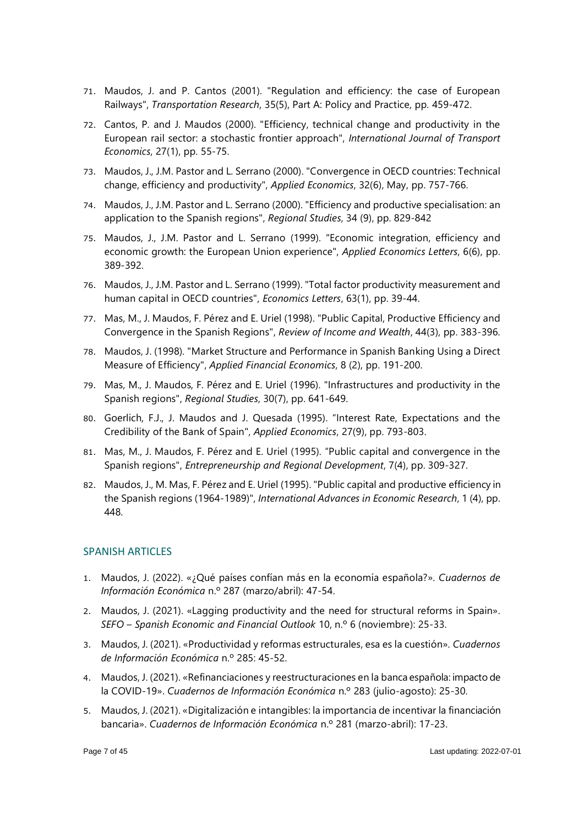- 71. Maudos, J. and P. Cantos (2001). "Regulation and efficiency: the case of European Railways", *Transportation Research*, 35(5), Part A: Policy and Practice, pp. 459-472.
- 72. Cantos, P. and J. Maudos (2000). "Efficiency, technical change and productivity in the European rail sector: a stochastic frontier approach", *International Journal of Transport Economics*, 27(1), pp. 55-75.
- 73. Maudos, J., J.M. Pastor and L. Serrano (2000). "Convergence in OECD countries: Technical change, efficiency and productivity", *Applied Economics*, 32(6), May, pp. 757-766.
- 74. Maudos, J., J.M. Pastor and L. Serrano (2000). "Efficiency and productive specialisation: an application to the Spanish regions", *Regional Studies*, 34 (9), pp. 829-842
- 75. Maudos, J., J.M. Pastor and L. Serrano (1999). "Economic integration, efficiency and economic growth: the European Union experience", *Applied Economics Letters*, 6(6), pp. 389-392.
- 76. Maudos, J., J.M. Pastor and L. Serrano (1999). "Total factor productivity measurement and human capital in OECD countries", *Economics Letters*, 63(1), pp. 39-44.
- 77. Mas, M., J. Maudos, F. Pérez and E. Uriel (1998). "Public Capital, Productive Efficiency and Convergence in the Spanish Regions", *Review of Income and Wealth*, 44(3), pp. 383-396.
- 78. Maudos, J. (1998). "Market Structure and Performance in Spanish Banking Using a Direct Measure of Efficiency", *Applied Financial Economics*, 8 (2), pp. 191-200.
- 79. Mas, M., J. Maudos, F. Pérez and E. Uriel (1996). "Infrastructures and productivity in the Spanish regions", *Regional Studies*, 30(7), pp. 641-649.
- 80. Goerlich, F.J., J. Maudos and J. Quesada (1995). "Interest Rate, Expectations and the Credibility of the Bank of Spain", *Applied Economics*, 27(9), pp. 793-803.
- 81. Mas, M., J. Maudos, F. Pérez and E. Uriel (1995). "Public capital and convergence in the Spanish regions", *Entrepreneurship and Regional Development*, 7(4), pp. 309-327.
- 82. Maudos, J., M. Mas, F. Pérez and E. Uriel (1995). "Public capital and productive efficiency in the Spanish regions (1964-1989)", *International Advances in Economic Research*, 1 (4), pp. 448.

# SPANISH ARTICLES

- 1. Maudos, J. (2022). «¿Qué países confían más en la economía española?». *Cuadernos de Información Económica* n.º 287 (marzo/abril): 47-54.
- 2. Maudos, J. (2021). «Lagging productivity and the need for structural reforms in Spain». *SEFO – Spanish Economic and Financial Outlook* 10, n.º 6 (noviembre): 25-33.
- 3. Maudos, J. (2021). «Productividad y reformas estructurales, esa es la cuestión». *Cuadernos de Información Económica* n.º 285: 45-52.
- 4. Maudos, J. (2021). «Refinanciaciones y reestructuraciones en la banca española: impacto de la COVID-19». *Cuadernos de Información Económica* n.º 283 (julio-agosto): 25-30.
- 5. Maudos, J. (2021). «Digitalización e intangibles: la importancia de incentivar la financiación bancaria». *Cuadernos de Información Económica* n.º 281 (marzo-abril): 17-23.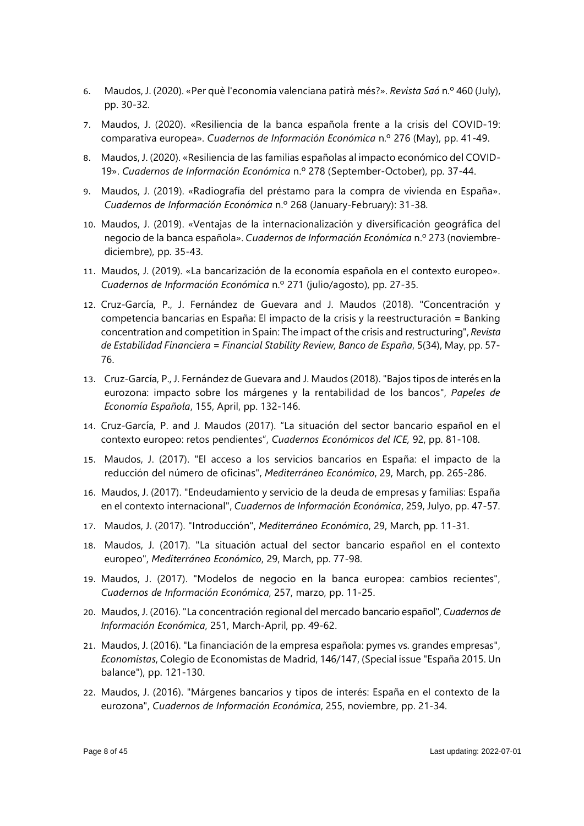- 6. Maudos, J. (2020). «Per què l'economia valenciana patirà més?». *Revista Saó* n.º 460 (July), pp. 30-32.
- 7. Maudos, J. (2020). «Resiliencia de la banca española frente a la crisis del COVID-19: comparativa europea». *Cuadernos de Información Económica* n.º 276 (May), pp. 41-49.
- 8. Maudos, J. (2020). «Resiliencia de las familias españolas al impacto económico del COVID-19». *Cuadernos de Información Económica* n.º 278 (September-October), pp. 37-44.
- 9. Maudos, J. (2019). «Radiografía del préstamo para la compra de vivienda en España». *Cuadernos de Información Económica* n.º 268 (January-February): 31-38.
- 10. Maudos, J. (2019). «Ventajas de la internacionalización y diversificación geográfica del negocio de la banca española». *Cuadernos de Información Económica* n.º 273 (noviembrediciembre), pp. 35-43.
- 11. Maudos, J. (2019). «La bancarización de la economía española en el contexto europeo». *Cuadernos de Información Económica* n.º 271 (julio/agosto), pp. 27-35.
- 12. Cruz-García, P., J. Fernández de Guevara and J. Maudos (2018). "Concentración y competencia bancarias en España: El impacto de la crisis y la reestructuración = Banking concentration and competition in Spain: The impact of the crisis and restructuring", *Revista de Estabilidad Financiera = Financial Stability Review, Banco de España*, 5(34), May, pp. 57- 76.
- 13. Cruz-García, P., J. Fernández de Guevara and J. Maudos (2018). "Bajos tipos de interés en la eurozona: impacto sobre los márgenes y la rentabilidad de los bancos", *Papeles de Economía Española*, 155, April, pp. 132-146.
- 14. Cruz-García, P. and J. Maudos (2017). "La situación del sector bancario español en el contexto europeo: retos pendientes", *Cuadernos Económicos del ICE,* 92, pp. 81-108.
- 15. Maudos, J. (2017). "El acceso a los servicios bancarios en España: el impacto de la reducción del número de oficinas", *Mediterráneo Económico*, 29, March, pp. 265-286.
- 16. Maudos, J. (2017). "Endeudamiento y servicio de la deuda de empresas y familias: España en el contexto internacional", *Cuadernos de Información Económica*, 259, Julyo, pp. 47-57.
- 17. Maudos, J. (2017). "Introducción", *Mediterráneo Económico*, 29, March, pp. 11-31.
- 18. Maudos, J. (2017). "La situación actual del sector bancario español en el contexto europeo", *Mediterráneo Económico*, 29, March, pp. 77-98.
- 19. Maudos, J. (2017). "Modelos de negocio en la banca europea: cambios recientes", *Cuadernos de Información Económica*, 257, marzo, pp. 11-25.
- 20. Maudos, J. (2016). "La concentración regional del mercado bancario español", *Cuadernos de Información Económica*, 251, March-April, pp. 49-62.
- 21. Maudos, J. (2016). "La financiación de la empresa española: pymes vs. grandes empresas", *Economistas*, Colegio de Economistas de Madrid, 146/147, (Special issue "España 2015. Un balance"), pp. 121-130.
- 22. Maudos, J. (2016). "Márgenes bancarios y tipos de interés: España en el contexto de la eurozona", *Cuadernos de Información Económica*, 255, noviembre, pp. 21-34.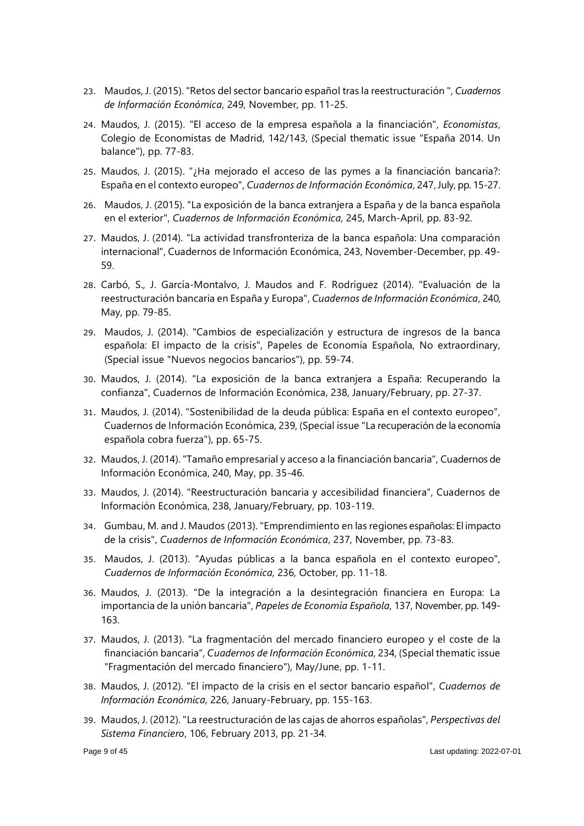- 23. Maudos, J. (2015). "Retos del sector bancario español tras la reestructuración ", *Cuadernos de Información Económica*, 249, November, pp. 11-25.
- 24. Maudos, J. (2015). "El acceso de la empresa española a la financiación", *Economistas*, Colegio de Economistas de Madrid, 142/143, (Special thematic issue "España 2014. Un balance"), pp. 77-83.
- 25. Maudos, J. (2015). "¿Ha mejorado el acceso de las pymes a la financiación bancaria?: España en el contexto europeo", *Cuadernos de Información Económica*, 247, July, pp. 15-27.
- 26. Maudos, J. (2015). "La exposición de la banca extranjera a España y de la banca española en el exterior", *Cuadernos de Información Económica*, 245, March-April, pp. 83-92.
- 27. Maudos, J. (2014). "La actividad transfronteriza de la banca española: Una comparación internacional", Cuadernos de Información Económica, 243, November-December, pp. 49- 59.
- 28. Carbó, S., J. García-Montalvo, J. Maudos and F. Rodríguez (2014). "Evaluación de la reestructuración bancaria en España y Europa", *Cuadernos de Información Económica*, 240, May, pp. 79-85.
- 29. Maudos, J. (2014). "Cambios de especialización y estructura de ingresos de la banca española: El impacto de la crisis", Papeles de Economía Española, No extraordinary, (Special issue "Nuevos negocios bancarios"), pp. 59-74.
- 30. Maudos, J. (2014). "La exposición de la banca extranjera a España: Recuperando la confianza", Cuadernos de Información Económica, 238, January/February, pp. 27-37.
- 31. Maudos, J. (2014). "Sostenibilidad de la deuda pública: España en el contexto europeo", Cuadernos de Información Económica, 239, (Special issue "La recuperación de la economía española cobra fuerza"), pp. 65-75.
- 32. Maudos, J. (2014). "Tamaño empresarial y acceso a la financiación bancaria", Cuadernos de Información Económica, 240, May, pp. 35-46.
- 33. Maudos, J. (2014). "Reestructuración bancaria y accesibilidad financiera", Cuadernos de Información Económica, 238, January/February, pp. 103-119.
- 34. Gumbau, M. and J. Maudos (2013). "Emprendimiento en las regiones españolas: El impacto de la crisis", *Cuadernos de Información Económica*, 237, November, pp. 73-83.
- 35. Maudos, J. (2013). "Ayudas públicas a la banca española en el contexto europeo", *Cuadernos de Información Económica*, 236, October, pp. 11-18.
- 36. Maudos, J. (2013). "De la integración a la desintegración financiera en Europa: La importancia de la unión bancaria", *Papeles de Economía Española*, 137, November, pp. 149- 163.
- 37. Maudos, J. (2013). "La fragmentación del mercado financiero europeo y el coste de la financiación bancaria", *Cuadernos de Información Económica*, 234, (Special thematic issue "Fragmentación del mercado financiero"), May/June, pp. 1-11.
- 38. Maudos, J. (2012). "El impacto de la crisis en el sector bancario español", *Cuadernos de Información Económica*, 226, January-February, pp. 155-163.
- 39. Maudos, J. (2012). "La reestructuración de las cajas de ahorros españolas", *Perspectivas del Sistema Financiero*, 106, February 2013, pp. 21-34.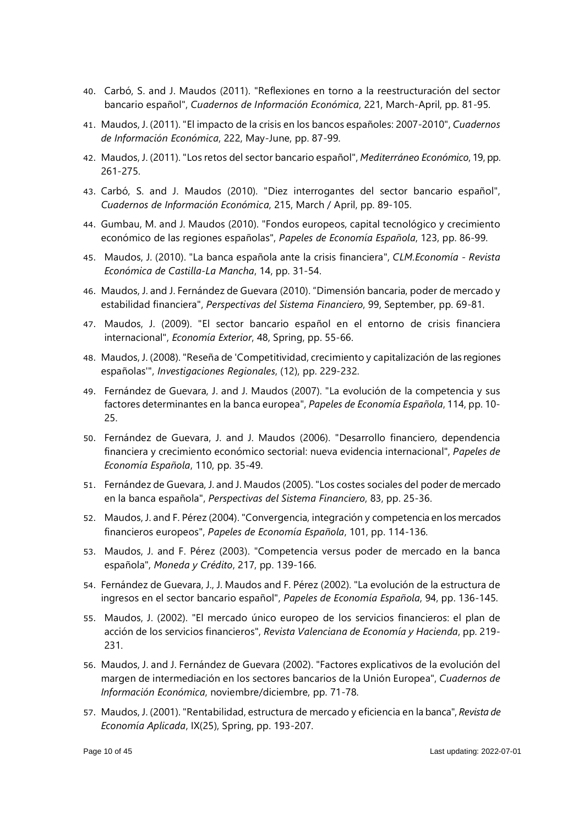- 40. Carbó, S. and J. Maudos (2011). "Reflexiones en torno a la reestructuración del sector bancario español", *Cuadernos de Información Económica*, 221, March-April, pp. 81-95.
- 41. Maudos, J. (2011). "El impacto de la crisis en los bancos españoles: 2007-2010", *Cuadernos de Información Económica*, 222, May-June, pp. 87-99.
- 42. Maudos, J. (2011). "Los retos del sector bancario español", *Mediterráneo Económico*, 19, pp. 261-275.
- 43. Carbó, S. and J. Maudos (2010). "Diez interrogantes del sector bancario español", *Cuadernos de Información Económica*, 215, March / April, pp. 89-105.
- 44. Gumbau, M. and J. Maudos (2010). "Fondos europeos, capital tecnológico y crecimiento económico de las regiones españolas", *Papeles de Economía Española*, 123, pp. 86-99.
- 45. Maudos, J. (2010). "La banca española ante la crisis financiera", *CLM.Economía - Revista Económica de Castilla-La Mancha*, 14, pp. 31-54.
- 46. Maudos, J. and J. Fernández de Guevara (2010). "Dimensión bancaria, poder de mercado y estabilidad financiera", *Perspectivas del Sistema Financiero*, 99, September, pp. 69-81.
- 47. Maudos, J. (2009). "El sector bancario español en el entorno de crisis financiera internacional", *Economía Exterior*, 48, Spring, pp. 55-66.
- 48. Maudos, J. (2008). "Reseña de 'Competitividad, crecimiento y capitalización de las regiones españolas'", *Investigaciones Regionales*, (12), pp. 229-232.
- 49. Fernández de Guevara, J. and J. Maudos (2007). "La evolución de la competencia y sus factores determinantes en la banca europea", *Papeles de Economía Española*, 114, pp. 10- 25.
- 50. Fernández de Guevara, J. and J. Maudos (2006). "Desarrollo financiero, dependencia financiera y crecimiento económico sectorial: nueva evidencia internacional", *Papeles de Economía Española*, 110, pp. 35-49.
- 51. Fernández de Guevara, J. and J. Maudos (2005). "Los costes sociales del poder de mercado en la banca española", *Perspectivas del Sistema Financiero*, 83, pp. 25-36.
- 52. Maudos, J. and F. Pérez (2004). "Convergencia, integración y competencia en los mercados financieros europeos", *Papeles de Economía Española*, 101, pp. 114-136.
- 53. Maudos, J. and F. Pérez (2003). "Competencia versus poder de mercado en la banca española", *Moneda y Crédito*, 217, pp. 139-166.
- 54. Fernández de Guevara, J., J. Maudos and F. Pérez (2002). "La evolución de la estructura de ingresos en el sector bancario español", *Papeles de Economía Española*, 94, pp. 136-145.
- 55. Maudos, J. (2002). "El mercado único europeo de los servicios financieros: el plan de acción de los servicios financieros", *Revista Valenciana de Economía y Hacienda*, pp. 219- 231.
- 56. Maudos, J. and J. Fernández de Guevara (2002). "Factores explicativos de la evolución del margen de intermediación en los sectores bancarios de la Unión Europea", *Cuadernos de Información Económica*, noviembre/diciembre, pp. 71-78.
- 57. Maudos, J. (2001). "Rentabilidad, estructura de mercado y eficiencia en la banca", *Revista de Economía Aplicada*, IX(25), Spring, pp. 193-207.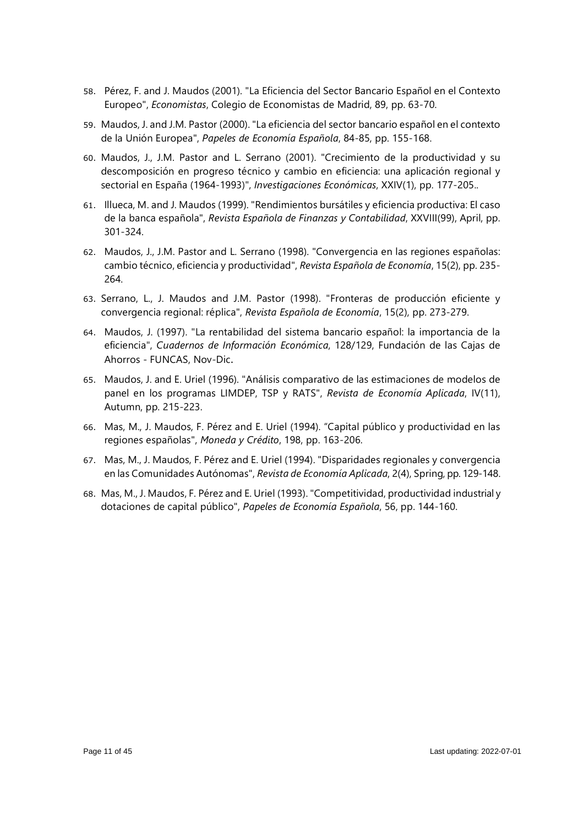- 58. Pérez, F. and J. Maudos (2001). "La Eficiencia del Sector Bancario Español en el Contexto Europeo", *Economistas*, Colegio de Economistas de Madrid, 89, pp. 63-70.
- 59. Maudos, J. and J.M. Pastor (2000). "La eficiencia del sector bancario español en el contexto de la Unión Europea", *Papeles de Economía Española*, 84-85, pp. 155-168.
- 60. Maudos, J., J.M. Pastor and L. Serrano (2001). "Crecimiento de la productividad y su descomposición en progreso técnico y cambio en eficiencia: una aplicación regional y sectorial en España (1964-1993)", *Investigaciones Económicas*, XXIV(1), pp. 177-205..
- 61. Illueca, M. and J. Maudos (1999). "Rendimientos bursátiles y eficiencia productiva: El caso de la banca española", *Revista Española de Finanzas y Contabilidad*, XXVIII(99), April, pp. 301-324.
- 62. Maudos, J., J.M. Pastor and L. Serrano (1998). "Convergencia en las regiones españolas: cambio técnico, eficiencia y productividad", *Revista Española de Economía*, 15(2), pp. 235- 264.
- 63. Serrano, L., J. Maudos and J.M. Pastor (1998). "Fronteras de producción eficiente y convergencia regional: réplica", *Revista Española de Economía*, 15(2), pp. 273-279.
- 64. Maudos, J. (1997). "La rentabilidad del sistema bancario español: la importancia de la eficiencia", *Cuadernos de Información Económica*, 128/129, Fundación de las Cajas de Ahorros - FUNCAS, Nov-Dic.
- 65. Maudos, J. and E. Uriel (1996). "Análisis comparativo de las estimaciones de modelos de panel en los programas LIMDEP, TSP y RATS", *Revista de Economía Aplicada*, IV(11), Autumn, pp. 215-223.
- 66. Mas, M., J. Maudos, F. Pérez and E. Uriel (1994). "Capital público y productividad en las regiones españolas", *Moneda y Crédito*, 198, pp. 163-206.
- 67. Mas, M., J. Maudos, F. Pérez and E. Uriel (1994). "Disparidades regionales y convergencia en las Comunidades Autónomas", *Revista de Economía Aplicada*, 2(4), Spring, pp. 129-148.
- 68. Mas, M., J. Maudos, F. Pérez and E. Uriel (1993). "Competitividad, productividad industrial y dotaciones de capital público", *Papeles de Economía Española*, 56, pp. 144-160.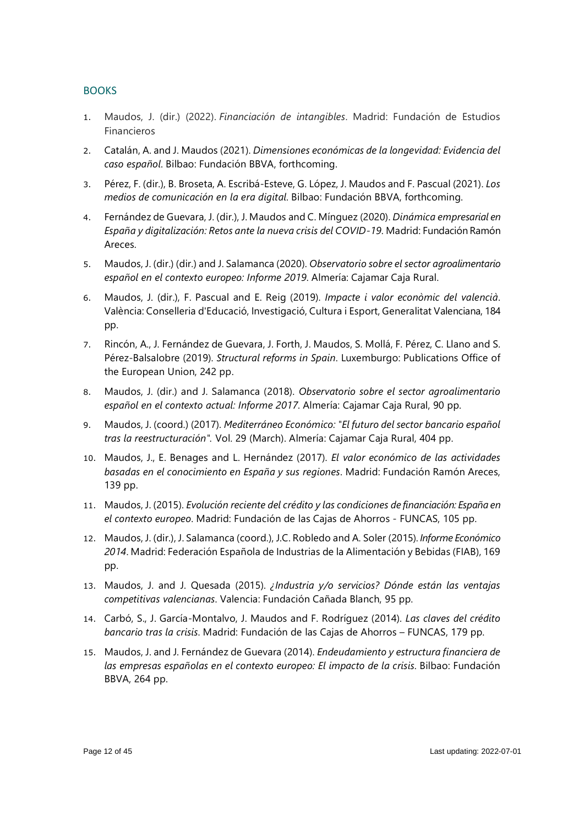# **BOOKS**

- 1. Maudos, J. (dir.) (2022). *Financiación de intangibles*. Madrid: Fundación de Estudios Financieros
- 2. Catalán, A. and J. Maudos (2021). *Dimensiones económicas de la longevidad: Evidencia del caso español*. Bilbao: Fundación BBVA, forthcoming.
- 3. Pérez, F. (dir.), B. Broseta, A. Escribá-Esteve, G. López, J. Maudos and F. Pascual (2021). *Los medios de comunicación en la era digital*. Bilbao: Fundación BBVA, forthcoming.
- 4. Fernández de Guevara, J. (dir.), J. Maudos and C. Mínguez (2020). *Dinámica empresarial en España y digitalización: Retos ante la nueva crisis del COVID-19*. Madrid: Fundación Ramón Areces.
- 5. Maudos, J. (dir.) (dir.) and J. Salamanca (2020). *Observatorio sobre el sector agroalimentario español en el contexto europeo: Informe 2019*. Almería: Cajamar Caja Rural.
- 6. Maudos, J. (dir.), F. Pascual and E. Reig (2019). *Impacte i valor econòmic del valencià*. València: Conselleria d'Educació, Investigació, Cultura i Esport, Generalitat Valenciana, 184 pp.
- 7. Rincón, A., J. Fernández de Guevara, J. Forth, J. Maudos, S. Mollá, F. Pérez, C. Llano and S. Pérez-Balsalobre (2019). *Structural reforms in Spain*. Luxemburgo: Publications Office of the European Union, 242 pp.
- 8. Maudos, J. (dir.) and J. Salamanca (2018). *Observatorio sobre el sector agroalimentario español en el contexto actual: Informe 2017*. Almería: Cajamar Caja Rural, 90 pp.
- 9. Maudos, J. (coord.) (2017). *Mediterráneo Económico: "El futuro del sector bancario español tras la reestructuración".* Vol. 29 (March). Almería: Cajamar Caja Rural, 404 pp.
- 10. Maudos, J., E. Benages and L. Hernández (2017). *El valor económico de las actividades basadas en el conocimiento en España y sus regiones*. Madrid: Fundación Ramón Areces, 139 pp.
- 11. Maudos, J. (2015). *Evolución reciente del crédito y las condiciones de financiación: España en el contexto europeo*. Madrid: Fundación de las Cajas de Ahorros - FUNCAS, 105 pp.
- 12. Maudos, J. (dir.), J. Salamanca (coord.), J.C. Robledo and A. Soler (2015). *Informe Económico 2014*. Madrid: Federación Española de Industrias de la Alimentación y Bebidas (FIAB), 169 pp.
- 13. Maudos, J. and J. Quesada (2015). *¿Industria y/o servicios? Dónde están las ventajas competitivas valencianas*. Valencia: Fundación Cañada Blanch, 95 pp.
- 14. Carbó, S., J. García-Montalvo, J. Maudos and F. Rodríguez (2014). *Las claves del crédito bancario tras la crisis*. Madrid: Fundación de las Cajas de Ahorros – FUNCAS, 179 pp.
- 15. Maudos, J. and J. Fernández de Guevara (2014). *Endeudamiento y estructura financiera de las empresas españolas en el contexto europeo: El impacto de la crisis*. Bilbao: Fundación BBVA, 264 pp.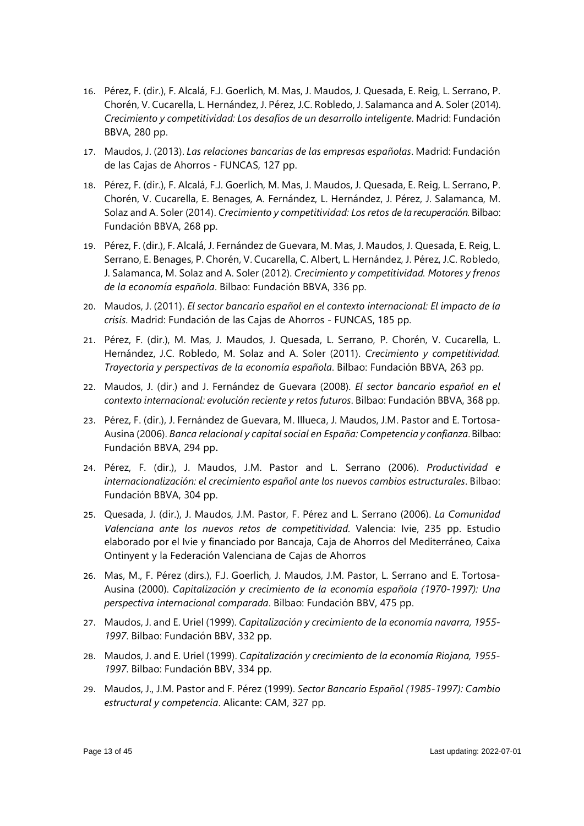- 16. Pérez, F. (dir.), F. Alcalá, F.J. Goerlich, M. Mas, J. Maudos, J. Quesada, E. Reig, L. Serrano, P. Chorén, V. Cucarella, L. Hernández, J. Pérez, J.C. Robledo, J. Salamanca and A. Soler (2014). *Crecimiento y competitividad: Los desafíos de un desarrollo inteligente*. Madrid: Fundación BBVA, 280 pp.
- 17. Maudos, J. (2013). *Las relaciones bancarias de las empresas españolas*. Madrid: Fundación de las Cajas de Ahorros - FUNCAS, 127 pp.
- 18. Pérez, F. (dir.), F. Alcalá, F.J. Goerlich, M. Mas, J. Maudos, J. Quesada, E. Reig, L. Serrano, P. Chorén, V. Cucarella, E. Benages, A. Fernández, L. Hernández, J. Pérez, J. Salamanca, M. Solaz and A. Soler (2014). *Crecimiento y competitividad: Los retos de la recuperación.* Bilbao: Fundación BBVA, 268 pp.
- 19. Pérez, F. (dir.), F. Alcalá, J. Fernández de Guevara, M. Mas, J. Maudos, J. Quesada, E. Reig, L. Serrano, E. Benages, P. Chorén, V. Cucarella, C. Albert, L. Hernández, J. Pérez, J.C. Robledo, J. Salamanca, M. Solaz and A. Soler (2012). *Crecimiento y competitividad. Motores y frenos de la economía española*. Bilbao: Fundación BBVA, 336 pp.
- 20. Maudos, J. (2011). *El sector bancario español en el contexto internacional: El impacto de la crisis*. Madrid: Fundación de las Cajas de Ahorros - FUNCAS, 185 pp.
- 21. Pérez, F. (dir.), M. Mas, J. Maudos, J. Quesada, L. Serrano, P. Chorén, V. Cucarella, L. Hernández, J.C. Robledo, M. Solaz and A. Soler (2011). *Crecimiento y competitividad. Trayectoria y perspectivas de la economía española*. Bilbao: Fundación BBVA, 263 pp.
- 22. Maudos, J. (dir.) and J. Fernández de Guevara (2008). *El sector bancario español en el contexto internacional: evolución reciente y retos futuros*. Bilbao: Fundación BBVA, 368 pp.
- 23. Pérez, F. (dir.), J. Fernández de Guevara, M. Illueca, J. Maudos, J.M. Pastor and E. Tortosa-Ausina (2006). *Banca relacional y capital social en España: Competencia y confianza*. Bilbao: Fundación BBVA, 294 pp.
- 24. Pérez, F. (dir.), J. Maudos, J.M. Pastor and L. Serrano (2006). *Productividad e internacionalización: el crecimiento español ante los nuevos cambios estructurales*. Bilbao: Fundación BBVA, 304 pp.
- 25. Quesada, J. (dir.), J. Maudos, J.M. Pastor, F. Pérez and L. Serrano (2006). *La Comunidad Valenciana ante los nuevos retos de competitividad*. Valencia: Ivie, 235 pp. Estudio elaborado por el Ivie y financiado por Bancaja, Caja de Ahorros del Mediterráneo, Caixa Ontinyent y la Federación Valenciana de Cajas de Ahorros
- 26. Mas, M., F. Pérez (dirs.), F.J. Goerlich, J. Maudos, J.M. Pastor, L. Serrano and E. Tortosa-Ausina (2000). *Capitalización y crecimiento de la economía española (1970-1997): Una perspectiva internacional comparada*. Bilbao: Fundación BBV, 475 pp.
- 27. Maudos, J. and E. Uriel (1999). *Capitalización y crecimiento de la economía navarra, 1955- 1997*. Bilbao: Fundación BBV, 332 pp.
- 28. Maudos, J. and E. Uriel (1999). *Capitalización y crecimiento de la economía Riojana, 1955- 1997*. Bilbao: Fundación BBV, 334 pp.
- 29. Maudos, J., J.M. Pastor and F. Pérez (1999). *Sector Bancario Español (1985-1997): Cambio estructural y competencia*. Alicante: CAM, 327 pp.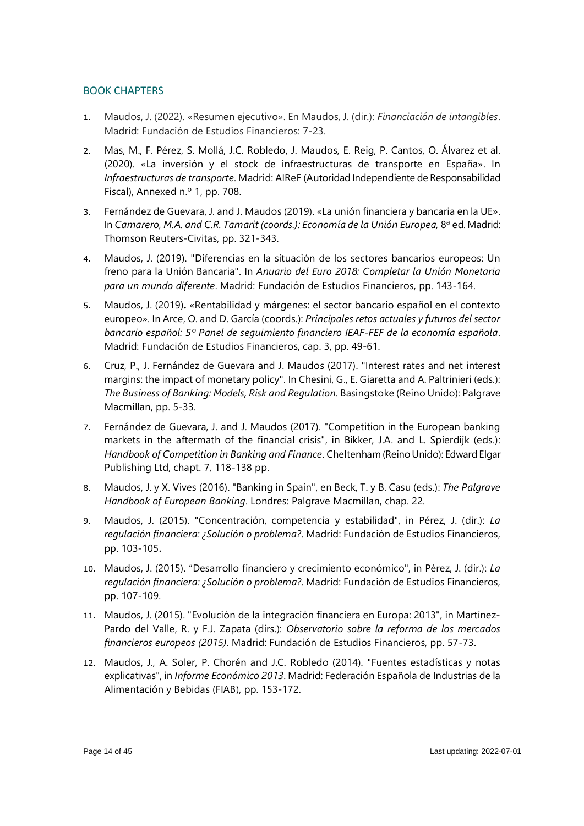# BOOK CHAPTERS

- 1. Maudos, J. (2022). «Resumen ejecutivo». En Maudos, J. (dir.): *Financiación de intangibles*. Madrid: Fundación de Estudios Financieros: 7-23.
- 2. Mas, M., F. Pérez, S. Mollá, J.C. Robledo, J. Maudos, E. Reig, P. Cantos, O. Álvarez et al. (2020). «La inversión y el stock de infraestructuras de transporte en España». In *Infraestructuras de transporte*. Madrid: AIReF (Autoridad Independiente de Responsabilidad Fiscal), Annexed n.º 1, pp. 708.
- 3. Fernández de Guevara, J. and J. Maudos (2019). «La unión financiera y bancaria en la UE». In *Camarero, M.A. and C.R. Tamarit (coords.): Economía de la Unión Europea,* 8ª ed. Madrid: Thomson Reuters-Civitas, pp. 321-343.
- 4. Maudos, J. (2019). "Diferencias en la situación de los sectores bancarios europeos: Un freno para la Unión Bancaria". In *Anuario del Euro 2018: Completar la Unión Monetaria para un mundo diferente*. Madrid: Fundación de Estudios Financieros, pp. 143-164.
- 5. Maudos, J. (2019)**.** «Rentabilidad y márgenes: el sector bancario español en el contexto europeo». In Arce, O. and D. García (coords.): *Principales retos actuales y futuros del sector bancario español: 5º Panel de seguimiento financiero IEAF-FEF de la economía española*. Madrid: Fundación de Estudios Financieros, cap. 3, pp. 49-61.
- 6. Cruz, P., J. Fernández de Guevara and J. Maudos (2017). "Interest rates and net interest margins: the impact of monetary policy". In Chesini, G., E. Giaretta and A. Paltrinieri (eds.): *The Business of Banking: Models, Risk and Regulation*. Basingstoke (Reino Unido): Palgrave Macmillan, pp. 5-33.
- 7. Fernández de Guevara, J. and J. Maudos (2017). "Competition in the European banking markets in the aftermath of the financial crisis", in Bikker, J.A. and L. Spierdijk (eds.): *Handbook of Competition in Banking and Finance*. Cheltenham (Reino Unido): Edward Elgar Publishing Ltd, chapt. 7, 118-138 pp.
- 8. Maudos, J. y X. Vives (2016). "Banking in Spain", en Beck, T. y B. Casu (eds.): *The Palgrave Handbook of European Banking*. Londres: Palgrave Macmillan, chap. 22.
- 9. Maudos, J. (2015). "Concentración, competencia y estabilidad", in Pérez, J. (dir.): *La regulación financiera: ¿Solución o problema?*. Madrid: Fundación de Estudios Financieros, pp. 103-105.
- 10. Maudos, J. (2015). "Desarrollo financiero y crecimiento económico", in Pérez, J. (dir.): *La regulación financiera: ¿Solución o problema?*. Madrid: Fundación de Estudios Financieros, pp. 107-109.
- 11. Maudos, J. (2015). "Evolución de la integración financiera en Europa: 2013", in Martínez-Pardo del Valle, R. y F.J. Zapata (dirs.): *Observatorio sobre la reforma de los mercados financieros europeos (2015)*. Madrid: Fundación de Estudios Financieros, pp. 57-73.
- 12. Maudos, J., A. Soler, P. Chorén and J.C. Robledo (2014). "Fuentes estadísticas y notas explicativas", in *Informe Económico 2013*. Madrid: Federación Española de Industrias de la Alimentación y Bebidas (FIAB), pp. 153-172.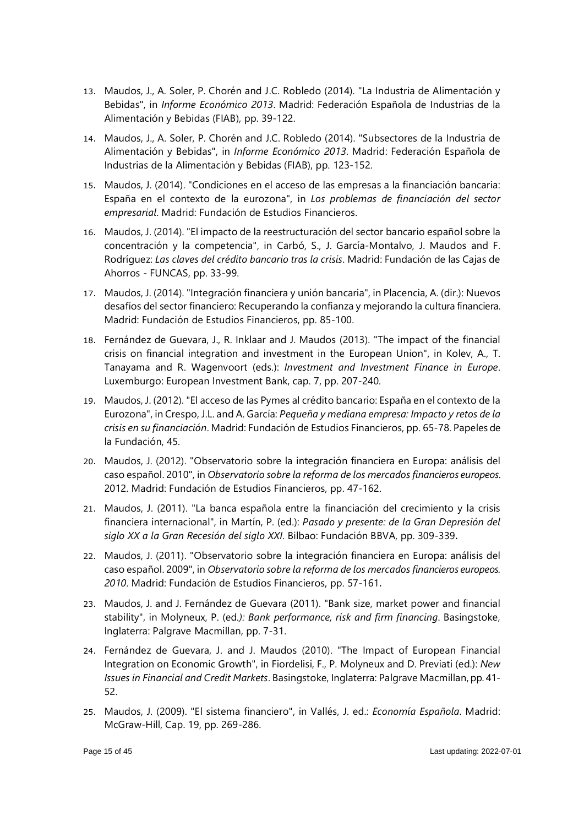- 13. Maudos, J., A. Soler, P. Chorén and J.C. Robledo (2014). "La Industria de Alimentación y Bebidas", in *Informe Económico 2013*. Madrid: Federación Española de Industrias de la Alimentación y Bebidas (FIAB), pp. 39-122.
- 14. Maudos, J., A. Soler, P. Chorén and J.C. Robledo (2014). "Subsectores de la Industria de Alimentación y Bebidas", in *Informe Económico 2013*. Madrid: Federación Española de Industrias de la Alimentación y Bebidas (FIAB), pp. 123-152.
- 15. Maudos, J. (2014). "Condiciones en el acceso de las empresas a la financiación bancaria: España en el contexto de la eurozona", in *Los problemas de financiación del sector empresarial*. Madrid: Fundación de Estudios Financieros.
- 16. Maudos, J. (2014). "El impacto de la reestructuración del sector bancario español sobre la concentración y la competencia", in Carbó, S., J. García-Montalvo, J. Maudos and F. Rodríguez: *Las claves del crédito bancario tras la crisis*. Madrid: Fundación de las Cajas de Ahorros - FUNCAS, pp. 33-99.
- 17. Maudos, J. (2014). "Integración financiera y unión bancaria", in Placencia, A. (dir.): Nuevos desafíos del sector financiero: Recuperando la confianza y mejorando la cultura financiera. Madrid: Fundación de Estudios Financieros, pp. 85-100.
- 18. Fernández de Guevara, J., R. Inklaar and J. Maudos (2013). "The impact of the financial crisis on financial integration and investment in the European Union", in Kolev, A., T. Tanayama and R. Wagenvoort (eds.): *Investment and Investment Finance in Europe*. Luxemburgo: European Investment Bank, cap. 7, pp. 207-240.
- 19. Maudos, J. (2012). "El acceso de las Pymes al crédito bancario: España en el contexto de la Eurozona", in Crespo, J.L. and A. García: *Pequeña y mediana empresa: Impacto y retos de la crisis en su financiación*. Madrid: Fundación de Estudios Financieros, pp. 65-78. Papeles de la Fundación, 45.
- 20. Maudos, J. (2012). "Observatorio sobre la integración financiera en Europa: análisis del caso español. 2010", in *Observatorio sobre la reforma de los mercados financieros europeos*. 2012. Madrid: Fundación de Estudios Financieros, pp. 47-162.
- 21. Maudos, J. (2011). "La banca española entre la financiación del crecimiento y la crisis financiera internacional", in Martín, P. (ed.): *Pasado y presente: de la Gran Depresión del siglo XX a la Gran Recesión del siglo XXI*. Bilbao: Fundación BBVA, pp. 309-339.
- 22. Maudos, J. (2011). "Observatorio sobre la integración financiera en Europa: análisis del caso español. 2009", in *Observatorio sobre la reforma de los mercados financieros europeos. 2010*. Madrid: Fundación de Estudios Financieros, pp. 57-161.
- 23. Maudos, J. and J. Fernández de Guevara (2011). "Bank size, market power and financial stability", in Molyneux, P. (ed*.): Bank performance, risk and firm financing*. Basingstoke, Inglaterra: Palgrave Macmillan, pp. 7-31.
- 24. Fernández de Guevara, J. and J. Maudos (2010). "The Impact of European Financial Integration on Economic Growth", in Fiordelisi, F., P. Molyneux and D. Previati (ed.): *New Issues in Financial and Credit Markets*. Basingstoke, Inglaterra: Palgrave Macmillan, pp. 41- 52.
- 25. Maudos, J. (2009). "El sistema financiero", in Vallés, J. ed.: *Economía Española*. Madrid: McGraw-Hill, Cap. 19, pp. 269-286.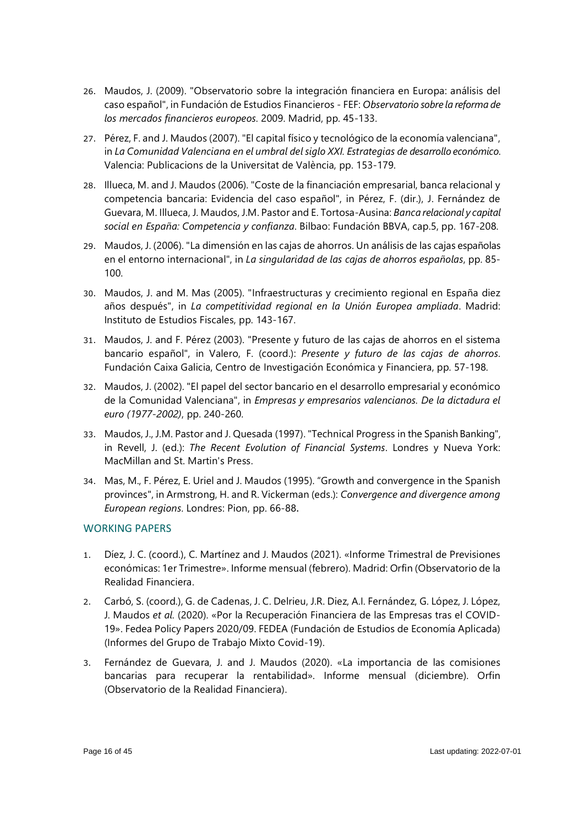- 26. Maudos, J. (2009). "Observatorio sobre la integración financiera en Europa: análisis del caso español", in Fundación de Estudios Financieros - FEF: *Observatorio sobre la reforma de los mercados financieros europeos*. 2009. Madrid, pp. 45-133.
- 27. Pérez, F. and J. Maudos (2007). "El capital físico y tecnológico de la economía valenciana", in *La Comunidad Valenciana en el umbral del siglo XXI. Estrategias de desarrollo económico*. Valencia: Publicacions de la Universitat de València, pp. 153-179.
- 28. Illueca, M. and J. Maudos (2006). "Coste de la financiación empresarial, banca relacional y competencia bancaria: Evidencia del caso español", in Pérez, F. (dir.), J. Fernández de Guevara, M. Illueca, J. Maudos, J.M. Pastor and E. Tortosa-Ausina: *Banca relacional y capital social en España: Competencia y confianza*. Bilbao: Fundación BBVA, cap.5, pp. 167-208.
- 29. Maudos, J. (2006). "La dimensión en las cajas de ahorros. Un análisis de las cajas españolas en el entorno internacional", in *La singularidad de las cajas de ahorros españolas*, pp. 85- 100.
- 30. Maudos, J. and M. Mas (2005). "Infraestructuras y crecimiento regional en España diez años después", in *La competitividad regional en la Unión Europea ampliada*. Madrid: Instituto de Estudios Fiscales, pp. 143-167.
- 31. Maudos, J. and F. Pérez (2003). "Presente y futuro de las cajas de ahorros en el sistema bancario español", in Valero, F. (coord.): *Presente y futuro de las cajas de ahorros*. Fundación Caixa Galicia, Centro de Investigación Económica y Financiera, pp. 57-198.
- 32. Maudos, J. (2002). "El papel del sector bancario en el desarrollo empresarial y económico de la Comunidad Valenciana", in *Empresas y empresarios valencianos. De la dictadura el euro (1977-2002)*, pp. 240-260.
- 33. Maudos, J., J.M. Pastor and J. Quesada (1997). "Technical Progress in the Spanish Banking", in Revell, J. (ed.): *The Recent Evolution of Financial Systems*. Londres y Nueva York: MacMillan and St. Martin's Press.
- 34. Mas, M., F. Pérez, E. Uriel and J. Maudos (1995). "Growth and convergence in the Spanish provinces", in Armstrong, H. and R. Vickerman (eds.): *Convergence and divergence among European regions*. Londres: Pion, pp. 66-88.

# WORKING PAPERS

- 1. Díez, J. C. (coord.), C. Martínez and J. Maudos (2021). «Informe Trimestral de Previsiones económicas: 1er Trimestre». Informe mensual (febrero). Madrid: Orfin (Observatorio de la Realidad Financiera.
- 2. Carbó, S. (coord.), G. de Cadenas, J. C. Delrieu, J.R. Diez, A.I. Fernández, G. López, J. López, J. Maudos *et al.* (2020). «Por la Recuperación Financiera de las Empresas tras el COVID-19». Fedea Policy Papers 2020/09. FEDEA (Fundación de Estudios de Economía Aplicada) (Informes del Grupo de Trabajo Mixto Covid-19).
- 3. Fernández de Guevara, J. and J. Maudos (2020). «La importancia de las comisiones bancarias para recuperar la rentabilidad». Informe mensual (diciembre). Orfin (Observatorio de la Realidad Financiera).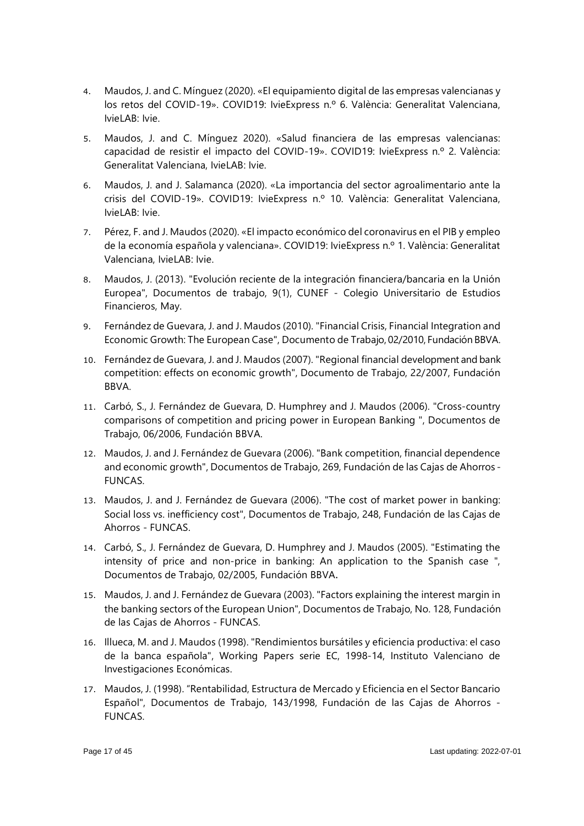- 4. Maudos, J. and C. Mínguez (2020). «El equipamiento digital de las empresas valencianas y los retos del COVID-19». COVID19: IvieExpress n.º 6. València: Generalitat Valenciana, IvieLAB: Ivie.
- 5. Maudos, J. and C. Mínguez 2020). «Salud financiera de las empresas valencianas: capacidad de resistir el impacto del COVID-19». COVID19: IvieExpress n.º 2. València: Generalitat Valenciana, IvieLAB: Ivie.
- 6. Maudos, J. and J. Salamanca (2020). «La importancia del sector agroalimentario ante la crisis del COVID-19». COVID19: IvieExpress n.º 10. València: Generalitat Valenciana, IvieLAB: Ivie.
- 7. Pérez, F. and J. Maudos (2020). «El impacto económico del coronavirus en el PIB y empleo de la economía española y valenciana». COVID19: IvieExpress n.º 1. València: Generalitat Valenciana, IvieLAB: Ivie.
- 8. Maudos, J. (2013). "Evolución reciente de la integración financiera/bancaria en la Unión Europea", Documentos de trabajo, 9(1), CUNEF - Colegio Universitario de Estudios Financieros, May.
- 9. Fernández de Guevara, J. and J. Maudos (2010). "Financial Crisis, Financial Integration and Economic Growth: The European Case", Documento de Trabajo, 02/2010, Fundación BBVA.
- 10. Fernández de Guevara, J. and J. Maudos (2007). "Regional financial development and bank competition: effects on economic growth", Documento de Trabajo, 22/2007, Fundación BBVA.
- 11. Carbó, S., J. Fernández de Guevara, D. Humphrey and J. Maudos (2006). "Cross-country comparisons of competition and pricing power in European Banking ", Documentos de Trabajo, 06/2006, Fundación BBVA.
- 12. Maudos, J. and J. Fernández de Guevara (2006). "Bank competition, financial dependence and economic growth", Documentos de Trabajo, 269, Fundación de las Cajas de Ahorros - FUNCAS.
- 13. Maudos, J. and J. Fernández de Guevara (2006). "The cost of market power in banking: Social loss vs. inefficiency cost", Documentos de Trabajo, 248, Fundación de las Cajas de Ahorros - FUNCAS.
- 14. Carbó, S., J. Fernández de Guevara, D. Humphrey and J. Maudos (2005). "Estimating the intensity of price and non-price in banking: An application to the Spanish case ", Documentos de Trabajo, 02/2005, Fundación BBVA.
- 15. Maudos, J. and J. Fernández de Guevara (2003). "Factors explaining the interest margin in the banking sectors of the European Union", Documentos de Trabajo, No. 128, Fundación de las Cajas de Ahorros - FUNCAS.
- 16. Illueca, M. and J. Maudos (1998). "Rendimientos bursátiles y eficiencia productiva: el caso de la banca española", Working Papers serie EC, 1998-14, Instituto Valenciano de Investigaciones Económicas.
- 17. Maudos, J. (1998). "Rentabilidad, Estructura de Mercado y Eficiencia en el Sector Bancario Español", Documentos de Trabajo, 143/1998, Fundación de las Cajas de Ahorros - **FUNCAS**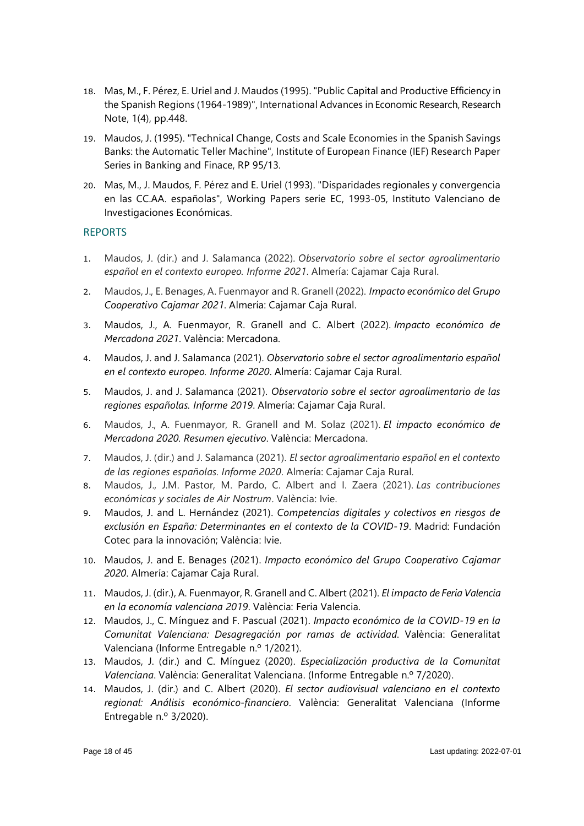- 18. Mas, M., F. Pérez, E. Uriel and J. Maudos (1995). "Public Capital and Productive Efficiency in the Spanish Regions (1964-1989)", International Advances in Economic Research, Research Note, 1(4), pp.448.
- 19. Maudos, J. (1995). "Technical Change, Costs and Scale Economies in the Spanish Savings Banks: the Automatic Teller Machine", Institute of European Finance (IEF) Research Paper Series in Banking and Finace, RP 95/13.
- 20. Mas, M., J. Maudos, F. Pérez and E. Uriel (1993). "Disparidades regionales y convergencia en las CC.AA. españolas", Working Papers serie EC, 1993-05, Instituto Valenciano de Investigaciones Económicas.

# REPORTS

- 1. Maudos, J. (dir.) and J. Salamanca (2022). *Observatorio sobre el sector agroalimentario español en el contexto europeo. Informe 2021*. Almería: Cajamar Caja Rural.
- 2. Maudos, J., E. Benages, A. Fuenmayor and R. Granell (2022). *Impacto económico del Grupo Cooperativo Cajamar 2021*. Almería: Cajamar Caja Rural.
- 3. Maudos, J., A. Fuenmayor, R. Granell and C. Albert (2022). *Impacto económico de Mercadona 2021*. València: Mercadona.
- 4. Maudos, J. and J. Salamanca (2021). *Observatorio sobre el sector agroalimentario español en el contexto europeo. Informe 2020*. Almería: Cajamar Caja Rural.
- 5. Maudos, J. and J. Salamanca (2021). *Observatorio sobre el sector agroalimentario de las regiones españolas. Informe 2019*. Almería: Cajamar Caja Rural.
- 6. Maudos, J., A. Fuenmayor, R. Granell and M. Solaz (2021). *El impacto económico de Mercadona 2020. Resumen ejecutivo*. València: Mercadona.
- 7. Maudos, J. (dir.) and J. Salamanca (2021). *El sector agroalimentario español en el contexto de las regiones españolas. Informe 2020*. Almería: Cajamar Caja Rural.
- 8. Maudos, J., J.M. Pastor, M. Pardo, C. Albert and I. Zaera (2021). *Las contribuciones económicas y sociales de Air Nostrum*. València: Ivie.
- 9. Maudos, J. and L. Hernández (2021). *Competencias digitales y colectivos en riesgos de exclusión en España: Determinantes en el contexto de la COVID-19*. Madrid: Fundación Cotec para la innovación; València: Ivie.
- 10. Maudos, J. and E. Benages (2021). *Impacto económico del Grupo Cooperativo Cajamar 2020*. Almería: Cajamar Caja Rural.
- 11. Maudos, J. (dir.), A. Fuenmayor, R. Granell and C. Albert (2021). *El impacto de Feria Valencia en la economía valenciana 2019*. València: Feria Valencia.
- 12. Maudos, J., C. Mínguez and F. Pascual (2021). *Impacto económico de la COVID-19 en la Comunitat Valenciana: Desagregación por ramas de actividad*. València: Generalitat Valenciana (Informe Entregable n.º 1/2021).
- 13. Maudos, J. (dir.) and C. Mínguez (2020). *Especialización productiva de la Comunitat Valenciana*. València: Generalitat Valenciana. (Informe Entregable n.º 7/2020).
- 14. Maudos, J. (dir.) and C. Albert (2020). *El sector audiovisual valenciano en el contexto regional: Análisis económico-financiero*. València: Generalitat Valenciana (Informe Entregable n.º 3/2020).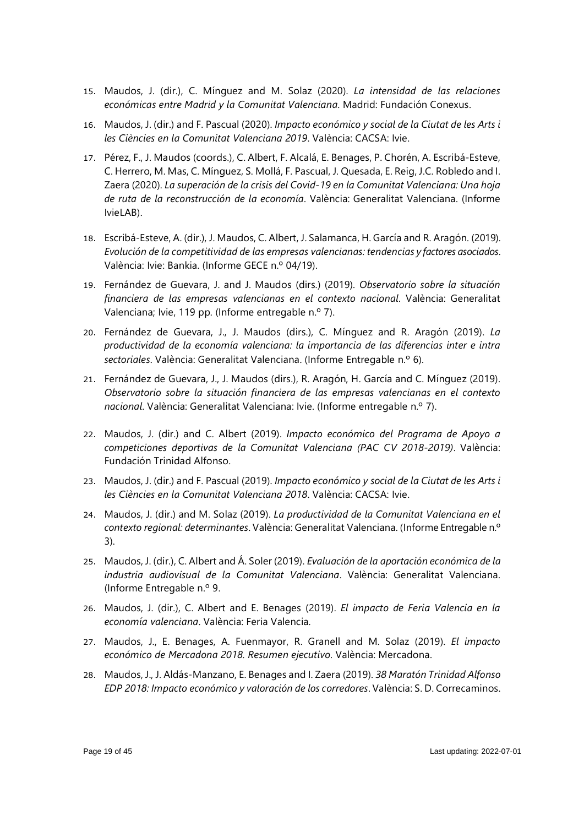- 15. Maudos, J. (dir.), C. Mínguez and M. Solaz (2020). *La intensidad de las relaciones económicas entre Madrid y la Comunitat Valenciana*. Madrid: Fundación Conexus.
- 16. Maudos, J. (dir.) and F. Pascual (2020). *Impacto económico y social de la Ciutat de les Arts i les Ciències en la Comunitat Valenciana 2019*. València: CACSA: Ivie.
- 17. Pérez, F., J. Maudos (coords.), C. Albert, F. Alcalá, E. Benages, P. Chorén, A. Escribá-Esteve, C. Herrero, M. Mas, C. Mínguez, S. Mollá, F. Pascual, J. Quesada, E. Reig, J.C. Robledo and I. Zaera (2020). *La superación de la crisis del Covid-19 en la Comunitat Valenciana: Una hoja de ruta de la reconstrucción de la economía*. València: Generalitat Valenciana. (Informe IvieLAB).
- 18. Escribá-Esteve, A. (dir.), J. Maudos, C. Albert, J. Salamanca, H. García and R. Aragón. (2019). *Evolución de la competitividad de las empresas valencianas: tendencias y factores asociados*. València: Ivie: Bankia. (Informe GECE n.º 04/19).
- 19. Fernández de Guevara, J. and J. Maudos (dirs.) (2019). *Observatorio sobre la situación financiera de las empresas valencianas en el contexto nacional*. València: Generalitat Valenciana; Ivie, 119 pp. (Informe entregable n.º 7).
- 20. Fernández de Guevara, J., J. Maudos (dirs.), C. Mínguez and R. Aragón (2019). *La productividad de la economía valenciana: la importancia de las diferencias inter e intra sectoriales*. València: Generalitat Valenciana. (Informe Entregable n.º 6).
- 21. Fernández de Guevara, J., J. Maudos (dirs.), R. Aragón, H. García and C. Mínguez (2019). *Observatorio sobre la situación financiera de las empresas valencianas en el contexto nacional*. València: Generalitat Valenciana: Ivie. (Informe entregable n.º 7).
- 22. Maudos, J. (dir.) and C. Albert (2019). *Impacto económico del Programa de Apoyo a competiciones deportivas de la Comunitat Valenciana (PAC CV 2018-2019)*. València: Fundación Trinidad Alfonso.
- 23. Maudos, J. (dir.) and F. Pascual (2019). *Impacto económico y social de la Ciutat de les Arts i les Ciències en la Comunitat Valenciana 2018*. València: CACSA: Ivie.
- 24. Maudos, J. (dir.) and M. Solaz (2019). *La productividad de la Comunitat Valenciana en el contexto regional: determinantes*. València: Generalitat Valenciana. (Informe Entregable n.º 3).
- 25. Maudos, J. (dir.), C. Albert and Á. Soler (2019). *Evaluación de la aportación económica de la industria audiovisual de la Comunitat Valenciana*. València: Generalitat Valenciana. (Informe Entregable n.º 9.
- 26. Maudos, J. (dir.), C. Albert and E. Benages (2019). *El impacto de Feria Valencia en la economía valenciana*. València: Feria Valencia.
- 27. Maudos, J., E. Benages, A. Fuenmayor, R. Granell and M. Solaz (2019). *El impacto económico de Mercadona 2018. Resumen ejecutivo*. València: Mercadona.
- 28. Maudos, J., J. Aldás-Manzano, E. Benages and I. Zaera (2019). *38 Maratón Trinidad Alfonso EDP 2018: Impacto económico y valoración de los corredores*. València: S. D. Correcaminos.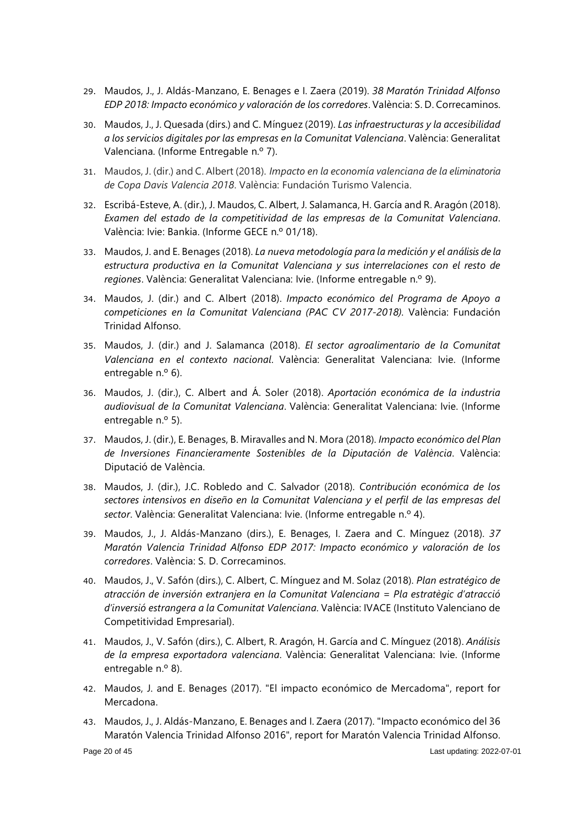- 29. Maudos, J., J. Aldás-Manzano, E. Benages e I. Zaera (2019). *38 Maratón Trinidad Alfonso EDP 2018: Impacto económico y valoración de los corredores*. València: S. D. Correcaminos.
- 30. Maudos, J., J. Quesada (dirs.) and C. Mínguez (2019). *Las infraestructuras y la accesibilidad a los servicios digitales por las empresas en la Comunitat Valenciana*. València: Generalitat Valenciana. (Informe Entregable n.º 7).
- 31. Maudos, J. (dir.) and C. Albert (2018). *Impacto en la economía valenciana de la eliminatoria de Copa Davis Valencia 2018*. València: Fundación Turismo Valencia.
- 32. Escribá-Esteve, A. (dir.), J. Maudos, C. Albert, J. Salamanca, H. García and R. Aragón (2018). *Examen del estado de la competitividad de las empresas de la Comunitat Valenciana*. València: Ivie: Bankia. (Informe GECE n.º 01/18).
- 33. Maudos, J. and E. Benages (2018). *La nueva metodología para la medición y el análisis de la estructura productiva en la Comunitat Valenciana y sus interrelaciones con el resto de regiones*. València: Generalitat Valenciana: Ivie. (Informe entregable n.º 9).
- 34. Maudos, J. (dir.) and C. Albert (2018). *Impacto económico del Programa de Apoyo a competiciones en la Comunitat Valenciana (PAC CV 2017-2018).* València: Fundación Trinidad Alfonso.
- 35. Maudos, J. (dir.) and J. Salamanca (2018). *El sector agroalimentario de la Comunitat Valenciana en el contexto nacional*. València: Generalitat Valenciana: Ivie. (Informe entregable n.º 6).
- 36. Maudos, J. (dir.), C. Albert and Á. Soler (2018). *Aportación económica de la industria audiovisual de la Comunitat Valenciana*. València: Generalitat Valenciana: Ivie. (Informe entregable n.º 5).
- 37. Maudos, J. (dir.), E. Benages, B. Miravalles and N. Mora (2018). *Impacto económico del Plan de Inversiones Financieramente Sostenibles de la Diputación de València*. València: Diputació de València.
- 38. Maudos, J. (dir.), J.C. Robledo and C. Salvador (2018). *Contribución económica de los sectores intensivos en diseño en la Comunitat Valenciana y el perfil de las empresas del sector*. València: Generalitat Valenciana: Ivie. (Informe entregable n.º 4).
- 39. Maudos, J., J. Aldás-Manzano (dirs.), E. Benages, I. Zaera and C. Mínguez (2018). *37 Maratón Valencia Trinidad Alfonso EDP 2017: Impacto económico y valoración de los corredores*. València: S. D. Correcaminos.
- 40. Maudos, J., V. Safón (dirs.), C. Albert, C. Mínguez and M. Solaz (2018). *Plan estratégico de atracción de inversión extranjera en la Comunitat Valenciana = Pla estratègic d'atracció d'inversió estrangera a la Comunitat Valenciana*. València: IVACE (Instituto Valenciano de Competitividad Empresarial).
- 41. Maudos, J., V. Safón (dirs.), C. Albert, R. Aragón, H. García and C. Mínguez (2018). *Análisis de la empresa exportadora valenciana*. València: Generalitat Valenciana: Ivie. (Informe entregable n.º 8).
- 42. Maudos, J. and E. Benages (2017). "El impacto económico de Mercadoma", report for Mercadona.
- 43. Maudos, J., J. Aldás-Manzano, E. Benages and I. Zaera (2017). "Impacto económico del 36 Maratón Valencia Trinidad Alfonso 2016", report for Maratón Valencia Trinidad Alfonso.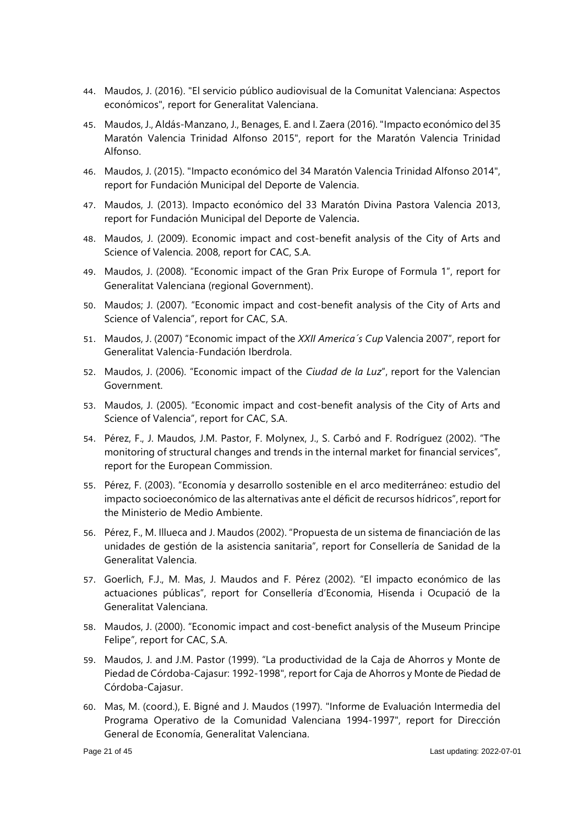- 44. Maudos, J. (2016). "El servicio público audiovisual de la Comunitat Valenciana: Aspectos económicos", report for Generalitat Valenciana.
- 45. Maudos, J., Aldás-Manzano, J., Benages, E. and I. Zaera (2016). "Impacto económico del 35 Maratón Valencia Trinidad Alfonso 2015", report for the Maratón Valencia Trinidad Alfonso.
- 46. Maudos, J. (2015). "Impacto económico del 34 Maratón Valencia Trinidad Alfonso 2014", report for Fundación Municipal del Deporte de Valencia.
- 47. Maudos, J. (2013). Impacto económico del 33 Maratón Divina Pastora Valencia 2013, report for Fundación Municipal del Deporte de Valencia.
- 48. Maudos, J. (2009). Economic impact and cost-benefit analysis of the City of Arts and Science of Valencia. 2008, report for CAC, S.A.
- 49. Maudos, J. (2008). "Economic impact of the Gran Prix Europe of Formula 1", report for Generalitat Valenciana (regional Government).
- 50. Maudos; J. (2007). "Economic impact and cost-benefit analysis of the City of Arts and Science of Valencia", report for CAC, S.A.
- 51. Maudos, J. (2007) "Economic impact of the *XXII America´s Cup* Valencia 2007", report for Generalitat Valencia-Fundación Iberdrola.
- 52. Maudos, J. (2006). "Economic impact of the *Ciudad de la Luz*", report for the Valencian Government.
- 53. Maudos, J. (2005). "Economic impact and cost-benefit analysis of the City of Arts and Science of Valencia", report for CAC, S.A.
- 54. Pérez, F., J. Maudos, J.M. Pastor, F. Molynex, J., S. Carbó and F. Rodríguez (2002). "The monitoring of structural changes and trends in the internal market for financial services", report for the European Commission.
- 55. Pérez, F. (2003). "Economía y desarrollo sostenible en el arco mediterráneo: estudio del impacto socioeconómico de las alternativas ante el déficit de recursos hídricos", report for the Ministerio de Medio Ambiente.
- 56. Pérez, F., M. Illueca and J. Maudos (2002). "Propuesta de un sistema de financiación de las unidades de gestión de la asistencia sanitaria", report for Consellería de Sanidad de la Generalitat Valencia.
- 57. Goerlich, F.J., M. Mas, J. Maudos and F. Pérez (2002). "El impacto económico de las actuaciones públicas", report for Consellería d'Economia, Hisenda i Ocupació de la Generalitat Valenciana.
- 58. Maudos, J. (2000). "Economic impact and cost-benefict analysis of the Museum Principe Felipe", report for CAC, S.A.
- 59. Maudos, J. and J.M. Pastor (1999). "La productividad de la Caja de Ahorros y Monte de Piedad de Córdoba-Cajasur: 1992-1998", report for Caja de Ahorros y Monte de Piedad de Córdoba-Cajasur.
- 60. Mas, M. (coord.), E. Bigné and J. Maudos (1997). "Informe de Evaluación Intermedia del Programa Operativo de la Comunidad Valenciana 1994-1997", report for Dirección General de Economía, Generalitat Valenciana.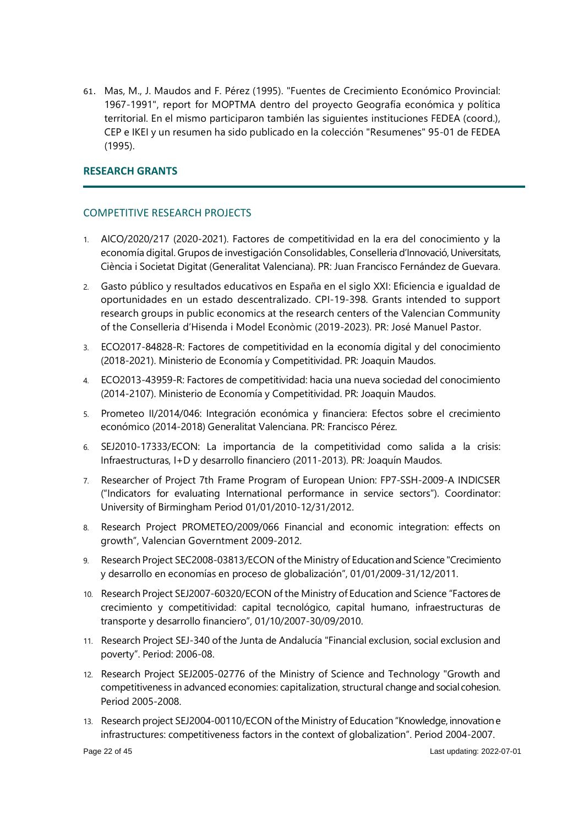61. Mas, M., J. Maudos and F. Pérez (1995). "Fuentes de Crecimiento Económico Provincial: 1967-1991", report for MOPTMA dentro del proyecto Geografía económica y política territorial. En el mismo participaron también las siguientes instituciones FEDEA (coord.), CEP e IKEI y un resumen ha sido publicado en la colección "Resumenes" 95-01 de FEDEA (1995).

# **RESEARCH GRANTS**

# COMPETITIVE RESEARCH PROJECTS

- 1. AICO/2020/217 (2020-2021). Factores de competitividad en la era del conocimiento y la economía digital. Grupos de investigación Consolidables, Conselleria d'Innovació, Universitats, Ciència i Societat Digitat (Generalitat Valenciana). PR: Juan Francisco Fernández de Guevara.
- 2. Gasto público y resultados educativos en España en el siglo XXI: Eficiencia e igualdad de oportunidades en un estado descentralizado. CPI-19-398. Grants intended to support research groups in public economics at the research centers of the Valencian Community of the Conselleria d'Hisenda i Model Econòmic (2019-2023). PR: José Manuel Pastor.
- 3. ECO2017-84828-R: Factores de competitividad en la economía digital y del conocimiento (2018-2021). Ministerio de Economía y Competitividad. PR: Joaquin Maudos.
- 4. ECO2013-43959-R: Factores de competitividad: hacia una nueva sociedad del conocimiento (2014-2107). Ministerio de Economía y Competitividad. PR: Joaquin Maudos.
- 5. Prometeo II/2014/046: Integración económica y financiera: Efectos sobre el crecimiento económico (2014-2018) Generalitat Valenciana. PR: Francisco Pérez.
- 6. SEJ2010-17333/ECON: La importancia de la competitividad como salida a la crisis: Infraestructuras, I+D y desarrollo financiero (2011-2013). PR: Joaquín Maudos.
- 7. Researcher of Project 7th Frame Program of European Union: FP7-SSH-2009-A INDICSER ("Indicators for evaluating International performance in service sectors"). Coordinator: University of Birmingham Period 01/01/2010-12/31/2012.
- 8. Research Project PROMETEO/2009/066 Financial and economic integration: effects on growth", Valencian Governtment 2009-2012.
- 9. Research Project SEC2008-03813/ECON of the Ministry of Educationand Science "Crecimiento y desarrollo en economías en proceso de globalización", 01/01/2009-31/12/2011.
- 10. Research Project SEJ2007-60320/ECON of the Ministry of Education and Science "Factores de crecimiento y competitividad: capital tecnológico, capital humano, infraestructuras de transporte y desarrollo financiero", 01/10/2007-30/09/2010.
- 11. Research Project SEJ-340 of the Junta de Andalucía "Financial exclusion, social exclusion and poverty". Period: 2006-08.
- 12. Research Project SEJ2005-02776 of the Ministry of Science and Technology "Growth and competitiveness in advanced economies: capitalization, structural change and social cohesion. Period 2005-2008.
- 13. Research project SEJ2004-00110/ECON of the Ministry of Education "Knowledge, innovation e infrastructures: competitiveness factors in the context of globalization". Period 2004-2007.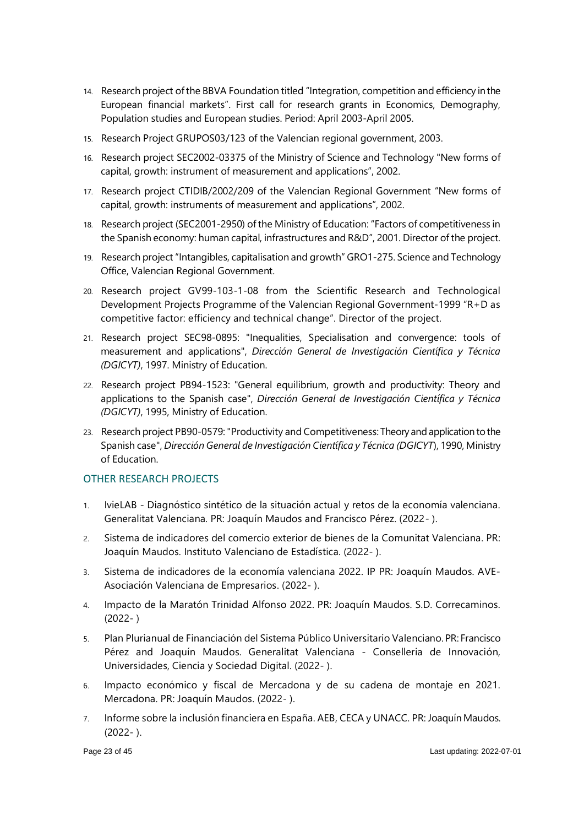- 14. Research project of the BBVA Foundation titled "Integration, competition and efficiency inthe European financial markets". First call for research grants in Economics, Demography, Population studies and European studies. Period: April 2003-April 2005.
- 15. Research Project GRUPOS03/123 of the Valencian regional government, 2003.
- 16. Research project SEC2002-03375 of the Ministry of Science and Technology "New forms of capital, growth: instrument of measurement and applications", 2002.
- 17. Research project CTIDIB/2002/209 of the Valencian Regional Government "New forms of capital, growth: instruments of measurement and applications", 2002.
- 18. Research project (SEC2001-2950) of the Ministry of Education: "Factors of competitiveness in the Spanish economy: human capital, infrastructures and R&D", 2001. Director of the project.
- 19. Research project "Intangibles, capitalisation and growth" GRO1-275. Science and Technology Office, Valencian Regional Government.
- 20. Research project GV99-103-1-08 from the Scientific Research and Technological Development Projects Programme of the Valencian Regional Government-1999 "R+D as competitive factor: efficiency and technical change". Director of the project.
- 21. Research project SEC98-0895: "Inequalities, Specialisation and convergence: tools of measurement and applications", *Dirección General de Investigación Científica y Técnica (DGICYT)*, 1997. Ministry of Education.
- 22. Research project PB94-1523: "General equilibrium, growth and productivity: Theory and applications to the Spanish case", *Dirección General de Investigación Científica y Técnica (DGICYT)*, 1995, Ministry of Education.
- 23. Research project PB90-0579:"Productivity and Competitiveness: Theory and application to the Spanish case", *Dirección General de Investigación Científica y Técnica (DGICYT*), 1990, Ministry of Education.

# OTHER RESEARCH PROJECTS

- 1. IvieLAB Diagnóstico sintético de la situación actual y retos de la economía valenciana. Generalitat Valenciana. PR: Joaquín Maudos and Francisco Pérez. (2022- ).
- 2. Sistema de indicadores del comercio exterior de bienes de la Comunitat Valenciana. PR: Joaquín Maudos. Instituto Valenciano de Estadística. (2022- ).
- 3. Sistema de indicadores de la economía valenciana 2022. IP PR: Joaquín Maudos. AVE-Asociación Valenciana de Empresarios. (2022- ).
- 4. Impacto de la Maratón Trinidad Alfonso 2022. PR: Joaquín Maudos. S.D. Correcaminos. (2022- )
- 5. Plan Plurianual de Financiación del Sistema Público Universitario Valenciano. PR: Francisco Pérez and Joaquín Maudos. Generalitat Valenciana - Conselleria de Innovación, Universidades, Ciencia y Sociedad Digital. (2022- ).
- 6. Impacto económico y fiscal de Mercadona y de su cadena de montaje en 2021. Mercadona. PR: Joaquín Maudos. (2022- ).
- 7. Informe sobre la inclusión financiera en España. AEB, CECA y UNACC. PR: Joaquín Maudos. (2022- ).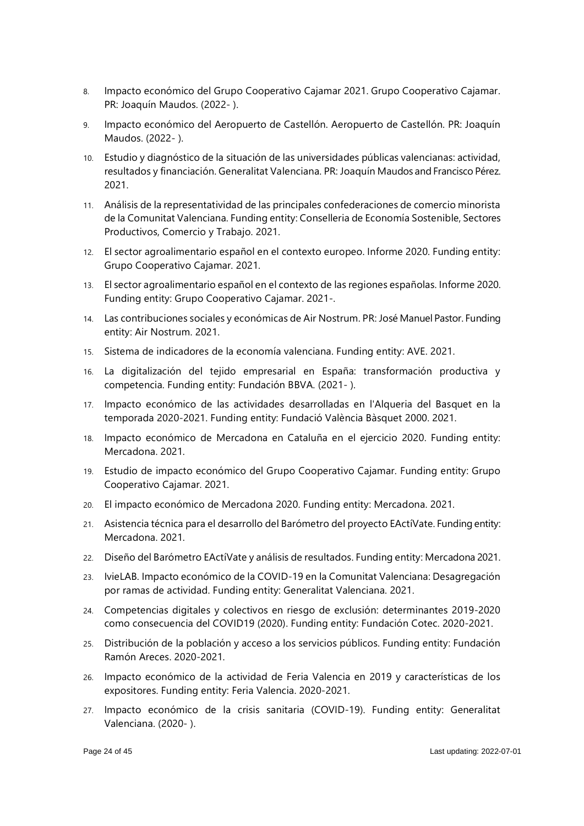- 8. Impacto económico del Grupo Cooperativo Cajamar 2021. Grupo Cooperativo Cajamar. PR: Joaquín Maudos. (2022- ).
- 9. Impacto económico del Aeropuerto de Castellón. Aeropuerto de Castellón. PR: Joaquín Maudos. (2022- ).
- 10. Estudio y diagnóstico de la situación de las universidades públicas valencianas: actividad, resultados y financiación. Generalitat Valenciana. PR: Joaquín Maudos and Francisco Pérez. 2021.
- 11. Análisis de la representatividad de las principales confederaciones de comercio minorista de la Comunitat Valenciana. Funding entity: Conselleria de Economía Sostenible, Sectores Productivos, Comercio y Trabajo. 2021.
- 12. El sector agroalimentario español en el contexto europeo. Informe 2020. Funding entity: Grupo Cooperativo Cajamar. 2021.
- 13. El sector agroalimentario español en el contexto de las regiones españolas. Informe 2020. Funding entity: Grupo Cooperativo Cajamar. 2021-.
- 14. Las contribuciones sociales y económicas de Air Nostrum. PR: José Manuel Pastor. Funding entity: Air Nostrum. 2021.
- 15. Sistema de indicadores de la economía valenciana. Funding entity: AVE. 2021.
- 16. La digitalización del tejido empresarial en España: transformación productiva y competencia. Funding entity: Fundación BBVA. (2021- ).
- 17. Impacto económico de las actividades desarrolladas en l'Alqueria del Basquet en la temporada 2020-2021. Funding entity: Fundació València Bàsquet 2000. 2021.
- 18. Impacto económico de Mercadona en Cataluña en el ejercicio 2020. Funding entity: Mercadona. 2021.
- 19. Estudio de impacto económico del Grupo Cooperativo Cajamar. Funding entity: Grupo Cooperativo Cajamar. 2021.
- 20. El impacto económico de Mercadona 2020. Funding entity: Mercadona. 2021.
- 21. Asistencia técnica para el desarrollo del Barómetro del proyecto EActíVate. Funding entity: Mercadona. 2021.
- 22. Diseño del Barómetro EActíVate y análisis de resultados. Funding entity: Mercadona 2021.
- 23. IvieLAB. Impacto económico de la COVID-19 en la Comunitat Valenciana: Desagregación por ramas de actividad. Funding entity: Generalitat Valenciana. 2021.
- 24. Competencias digitales y colectivos en riesgo de exclusión: determinantes 2019-2020 como consecuencia del COVID19 (2020). Funding entity: Fundación Cotec. 2020-2021.
- 25. Distribución de la población y acceso a los servicios públicos. Funding entity: Fundación Ramón Areces. 2020-2021.
- 26. Impacto económico de la actividad de Feria Valencia en 2019 y características de los expositores. Funding entity: Feria Valencia. 2020-2021.
- 27. Impacto económico de la crisis sanitaria (COVID-19). Funding entity: Generalitat Valenciana. (2020- ).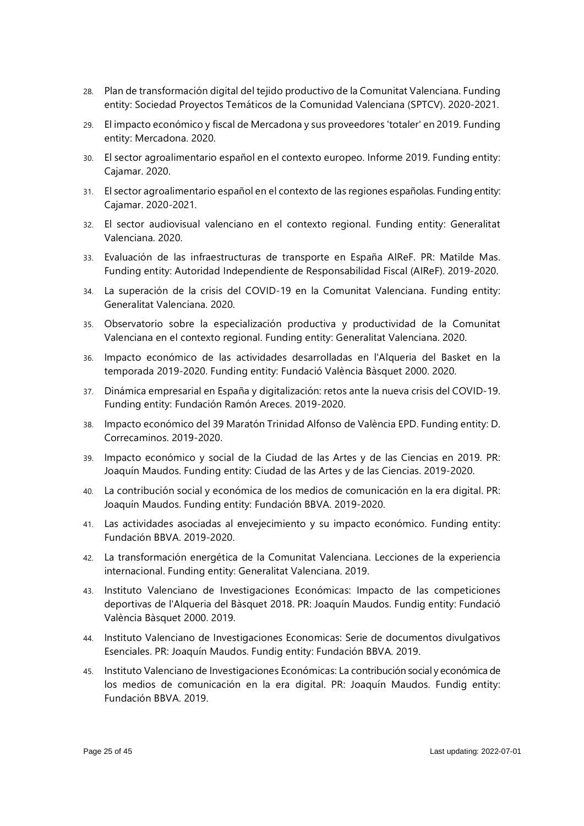- 28. Plan de transformación digital del tejido productivo de la Comunitat Valenciana. Funding entity: Sociedad Proyectos Temáticos de la Comunidad Valenciana (SPTCV). 2020-2021.
- 29. El impacto económico y fiscal de Mercadona y sus proveedores 'totaler' en 2019. Funding entity: Mercadona. 2020.
- 30. El sector agroalimentario español en el contexto europeo. Informe 2019. Funding entity: Cajamar. 2020.
- 31. El sector agroalimentario español en el contexto de las regiones españolas. Funding entity: Cajamar. 2020-2021.
- 32. El sector audiovisual valenciano en el contexto regional. Funding entity: Generalitat Valenciana. 2020.
- 33. Evaluación de las infraestructuras de transporte en España AIReF. PR: Matilde Mas. Funding entity: Autoridad Independiente de Responsabilidad Fiscal (AIReF). 2019-2020.
- 34. La superación de la crisis del COVID-19 en la Comunitat Valenciana. Funding entity: Generalitat Valenciana. 2020.
- 35. Observatorio sobre la especialización productiva y productividad de la Comunitat Valenciana en el contexto regional. Funding entity: Generalitat Valenciana. 2020.
- 36. Impacto económico de las actividades desarrolladas en l'Alqueria del Basket en la temporada 2019-2020. Funding entity: Fundació València Bàsquet 2000. 2020.
- 37. Dinámica empresarial en España y digitalización: retos ante la nueva crisis del COVID-19. Funding entity: Fundación Ramón Areces. 2019-2020.
- 38. Impacto económico del 39 Maratón Trinidad Alfonso de València EPD. Funding entity: D. Correcaminos. 2019-2020.
- 39. Impacto económico y social de la Ciudad de las Artes y de las Ciencias en 2019. PR: Joaquín Maudos. Funding entity: Ciudad de las Artes y de las Ciencias. 2019-2020.
- 40. La contribución social y económica de los medios de comunicación en la era digital. PR: Joaquín Maudos. Funding entity: Fundación BBVA. 2019-2020.
- 41. Las actividades asociadas al envejecimiento y su impacto económico. Funding entity: Fundación BBVA. 2019-2020.
- 42. La transformación energética de la Comunitat Valenciana. Lecciones de la experiencia internacional. Funding entity: Generalitat Valenciana. 2019.
- 43. Instituto Valenciano de Investigaciones Económicas: Impacto de las competiciones deportivas de l'Alqueria del Bàsquet 2018. PR: Joaquín Maudos. Fundig entity: Fundació València Bàsquet 2000. 2019.
- 44. Instituto Valenciano de Investigaciones Economicas: Serie de documentos divulgativos Esenciales. PR: Joaquín Maudos. Fundig entity: Fundación BBVA. 2019.
- 45. Instituto Valenciano de Investigaciones Económicas: La contribución social y económica de los medios de comunicación en la era digital. PR: Joaquín Maudos. Fundig entity: Fundación BBVA. 2019.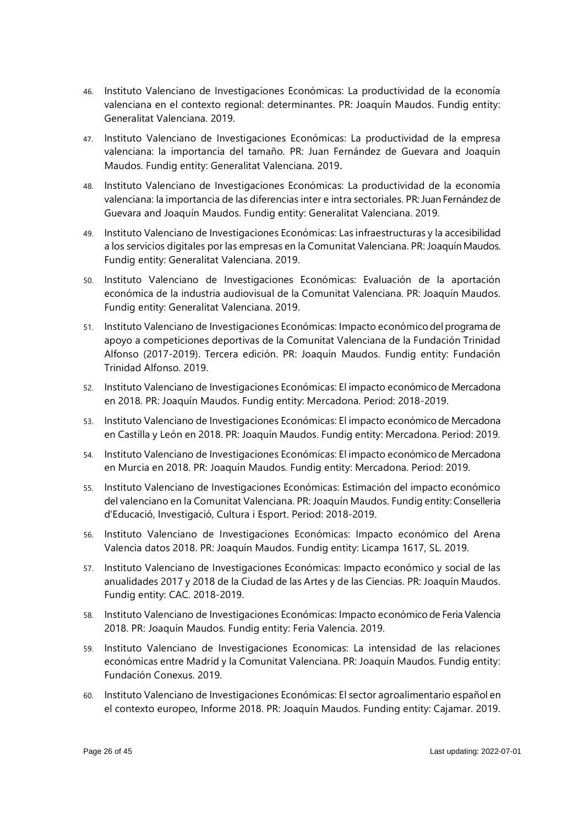- 46. Instituto Valenciano de Investigaciones Económicas: La productividad de la economía valenciana en el contexto regional: determinantes. PR: Joaquín Maudos. Fundig entity: Generalitat Valenciana. 2019.
- 47. Instituto Valenciano de Investigaciones Económicas: La productividad de la empresa valenciana: la importancia del tamaño. PR: Juan Fernández de Guevara and Joaquín Maudos. Fundig entity: Generalitat Valenciana. 2019.
- 48. Instituto Valenciano de Investigaciones Económicas: La productividad de la economía valenciana: la importancia de las diferencias inter e intra sectoriales. PR:Juan Fernández de Guevara and Joaquín Maudos. Fundig entity: Generalitat Valenciana. 2019.
- 49. Instituto Valenciano de Investigaciones Económicas: Las infraestructuras y la accesibilidad a los servicios digitales por las empresas en la Comunitat Valenciana. PR: Joaquín Maudos. Fundig entity: Generalitat Valenciana. 2019.
- 50. Instituto Valenciano de Investigaciones Económicas: Evaluación de la aportación económica de la industria audiovisual de la Comunitat Valenciana. PR: Joaquín Maudos. Fundig entity: Generalitat Valenciana. 2019.
- 51. Instituto Valenciano de Investigaciones Económicas: Impacto económico del programa de apoyo a competiciones deportivas de la Comunitat Valenciana de la Fundación Trinidad Alfonso (2017-2019). Tercera edición. PR: Joaquín Maudos. Fundig entity: Fundación Trinidad Alfonso. 2019.
- 52. Instituto Valenciano de Investigaciones Económicas: El impacto económico de Mercadona en 2018. PR: Joaquín Maudos. Fundig entity: Mercadona. Period: 2018-2019.
- 53. Instituto Valenciano de Investigaciones Económicas: El impacto económico de Mercadona en Castilla y León en 2018. PR: Joaquín Maudos. Fundig entity: Mercadona. Period: 2019.
- 54. Instituto Valenciano de Investigaciones Económicas: El impacto económico de Mercadona en Murcia en 2018. PR: Joaquín Maudos. Fundig entity: Mercadona. Period: 2019.
- 55. Instituto Valenciano de Investigaciones Económicas: Estimación del impacto económico del valenciano en la Comunitat Valenciana. PR: Joaquín Maudos. Fundig entity: Conselleria d'Educació, Investigació, Cultura i Esport. Period: 2018-2019.
- 56. Instituto Valenciano de Investigaciones Económicas: Impacto económico del Arena Valencia datos 2018. PR: Joaquín Maudos. Fundig entity: Licampa 1617, SL. 2019.
- 57. Instituto Valenciano de Investigaciones Económicas: Impacto económico y social de las anualidades 2017 y 2018 de la Ciudad de las Artes y de las Ciencias. PR: Joaquín Maudos. Fundig entity: CAC. 2018-2019.
- 58. Instituto Valenciano de Investigaciones Económicas: Impacto económico de Feria Valencia 2018. PR: Joaquín Maudos. Fundig entity: Feria Valencia. 2019.
- 59. Instituto Valenciano de Investigaciones Economicas: La intensidad de las relaciones económicas entre Madrid y la Comunitat Valenciana. PR: Joaquín Maudos. Fundig entity: Fundación Conexus. 2019.
- 60. Instituto Valenciano de Investigaciones Económicas: El sector agroalimentario español en el contexto europeo, Informe 2018. PR: Joaquín Maudos. Funding entity: Cajamar. 2019.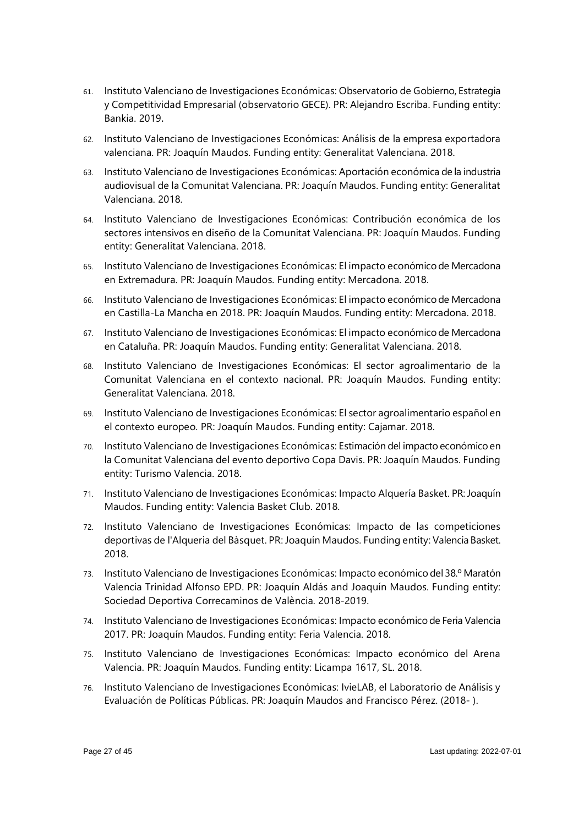- 61. Instituto Valenciano de Investigaciones Económicas: Observatorio de Gobierno, Estrategia y Competitividad Empresarial (observatorio GECE). PR: Alejandro Escriba. Funding entity: Bankia. 2019.
- 62. Instituto Valenciano de Investigaciones Económicas: Análisis de la empresa exportadora valenciana. PR: Joaquín Maudos. Funding entity: Generalitat Valenciana. 2018.
- 63. Instituto Valenciano de Investigaciones Económicas: Aportación económica de la industria audiovisual de la Comunitat Valenciana. PR: Joaquín Maudos. Funding entity: Generalitat Valenciana. 2018.
- 64. Instituto Valenciano de Investigaciones Económicas: Contribución económica de los sectores intensivos en diseño de la Comunitat Valenciana. PR: Joaquín Maudos. Funding entity: Generalitat Valenciana. 2018.
- 65. Instituto Valenciano de Investigaciones Económicas: El impacto económico de Mercadona en Extremadura. PR: Joaquín Maudos. Funding entity: Mercadona. 2018.
- 66. Instituto Valenciano de Investigaciones Económicas: El impacto económico de Mercadona en Castilla-La Mancha en 2018. PR: Joaquín Maudos. Funding entity: Mercadona. 2018.
- 67. Instituto Valenciano de Investigaciones Económicas: El impacto económico de Mercadona en Cataluña. PR: Joaquín Maudos. Funding entity: Generalitat Valenciana. 2018.
- 68. Instituto Valenciano de Investigaciones Económicas: El sector agroalimentario de la Comunitat Valenciana en el contexto nacional. PR: Joaquín Maudos. Funding entity: Generalitat Valenciana. 2018.
- 69. Instituto Valenciano de Investigaciones Económicas: El sector agroalimentario español en el contexto europeo. PR: Joaquín Maudos. Funding entity: Cajamar. 2018.
- 70. Instituto Valenciano de Investigaciones Económicas: Estimación del impacto económico en la Comunitat Valenciana del evento deportivo Copa Davis. PR: Joaquín Maudos. Funding entity: Turismo Valencia. 2018.
- 71. Instituto Valenciano de Investigaciones Económicas: Impacto Alquería Basket. PR: Joaquín Maudos. Funding entity: Valencia Basket Club. 2018.
- 72. Instituto Valenciano de Investigaciones Económicas: Impacto de las competiciones deportivas de l'Alqueria del Bàsquet. PR: Joaquín Maudos. Funding entity: Valencia Basket. 2018.
- 73. Instituto Valenciano de Investigaciones Económicas: Impacto económico del 38.º Maratón Valencia Trinidad Alfonso EPD. PR: Joaquín Aldás and Joaquín Maudos. Funding entity: Sociedad Deportiva Correcaminos de València. 2018-2019.
- 74. Instituto Valenciano de Investigaciones Económicas: Impacto económico de Feria Valencia 2017. PR: Joaquín Maudos. Funding entity: Feria Valencia. 2018.
- 75. Instituto Valenciano de Investigaciones Económicas: Impacto económico del Arena Valencia. PR: Joaquín Maudos. Funding entity: Licampa 1617, SL. 2018.
- 76. Instituto Valenciano de Investigaciones Económicas: IvieLAB, el Laboratorio de Análisis y Evaluación de Políticas Públicas. PR: Joaquín Maudos and Francisco Pérez. (2018- ).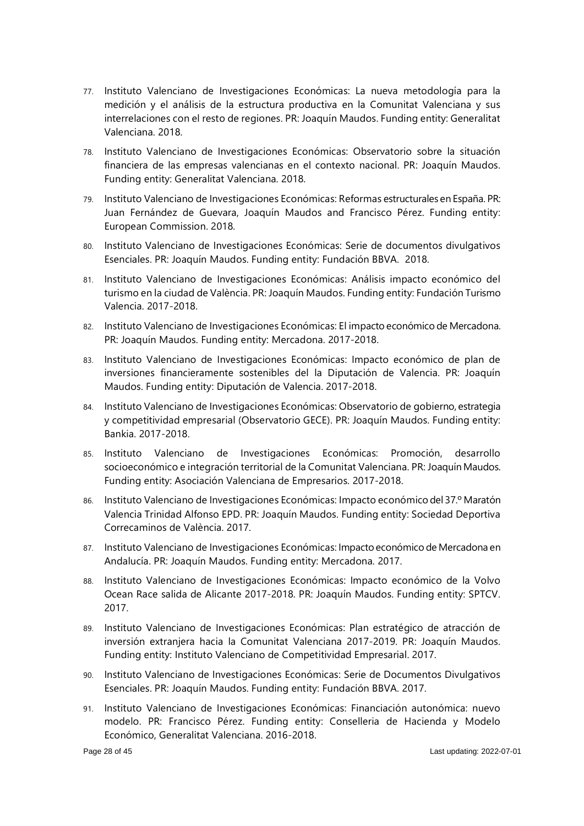- 77. Instituto Valenciano de Investigaciones Económicas: La nueva metodología para la medición y el análisis de la estructura productiva en la Comunitat Valenciana y sus interrelaciones con el resto de regiones. PR: Joaquín Maudos. Funding entity: Generalitat Valenciana. 2018.
- 78. Instituto Valenciano de Investigaciones Económicas: Observatorio sobre la situación financiera de las empresas valencianas en el contexto nacional. PR: Joaquín Maudos. Funding entity: Generalitat Valenciana. 2018.
- 79. Instituto Valenciano de Investigaciones Económicas: Reformas estructurales en España. PR: Juan Fernández de Guevara, Joaquín Maudos and Francisco Pérez. Funding entity: European Commission. 2018.
- 80. Instituto Valenciano de Investigaciones Económicas: Serie de documentos divulgativos Esenciales. PR: Joaquín Maudos. Funding entity: Fundación BBVA. 2018.
- 81. Instituto Valenciano de Investigaciones Económicas: Análisis impacto económico del turismo en la ciudad de València. PR: Joaquín Maudos. Funding entity: Fundación Turismo Valencia. 2017-2018.
- 82. Instituto Valenciano de Investigaciones Económicas: El impacto económico de Mercadona. PR: Joaquín Maudos. Funding entity: Mercadona. 2017-2018.
- 83. Instituto Valenciano de Investigaciones Económicas: Impacto económico de plan de inversiones financieramente sostenibles del la Diputación de Valencia. PR: Joaquín Maudos. Funding entity: Diputación de Valencia. 2017-2018.
- 84. Instituto Valenciano de Investigaciones Económicas: Observatorio de gobierno, estrategia y competitividad empresarial (Observatorio GECE). PR: Joaquín Maudos. Funding entity: Bankia. 2017-2018.
- 85. Instituto Valenciano de Investigaciones Económicas: Promoción, desarrollo socioeconómico e integración territorial de la Comunitat Valenciana. PR: Joaquín Maudos. Funding entity: Asociación Valenciana de Empresarios. 2017-2018.
- 86. Instituto Valenciano de Investigaciones Económicas: Impacto económico del 37.º Maratón Valencia Trinidad Alfonso EPD. PR: Joaquín Maudos. Funding entity: Sociedad Deportiva Correcaminos de València. 2017.
- 87. Instituto Valenciano de Investigaciones Económicas: Impacto económico de Mercadona en Andalucía. PR: Joaquín Maudos. Funding entity: Mercadona. 2017.
- 88. Instituto Valenciano de Investigaciones Económicas: Impacto económico de la Volvo Ocean Race salida de Alicante 2017-2018. PR: Joaquín Maudos. Funding entity: SPTCV. 2017.
- 89. Instituto Valenciano de Investigaciones Económicas: Plan estratégico de atracción de inversión extranjera hacia la Comunitat Valenciana 2017-2019. PR: Joaquín Maudos. Funding entity: Instituto Valenciano de Competitividad Empresarial. 2017.
- 90. Instituto Valenciano de Investigaciones Económicas: Serie de Documentos Divulgativos Esenciales. PR: Joaquín Maudos. Funding entity: Fundación BBVA. 2017.
- 91. Instituto Valenciano de Investigaciones Económicas: Financiación autonómica: nuevo modelo. PR: Francisco Pérez. Funding entity: Conselleria de Hacienda y Modelo Económico, Generalitat Valenciana. 2016-2018.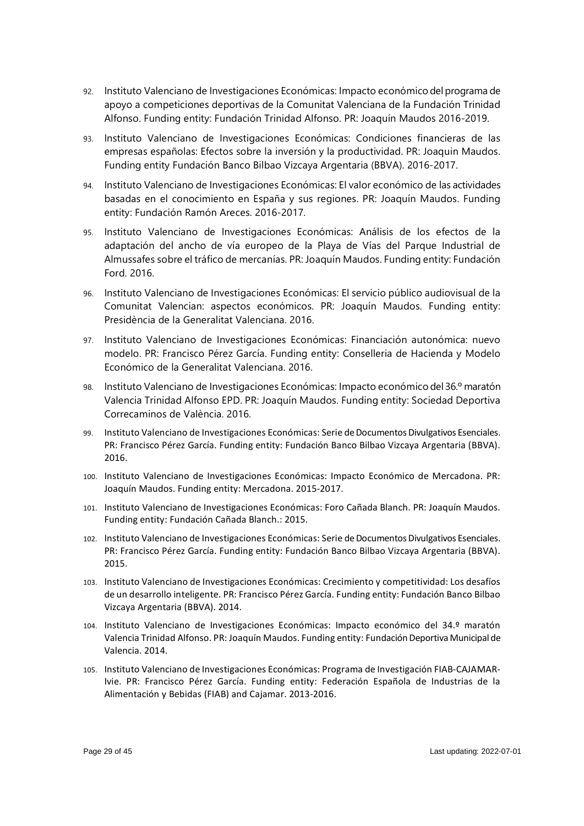- 92. Instituto Valenciano de Investigaciones Económicas: Impacto económico del programa de apoyo a competiciones deportivas de la Comunitat Valenciana de la Fundación Trinidad Alfonso. Funding entity: Fundación Trinidad Alfonso. PR: Joaquín Maudos 2016-2019.
- 93. Instituto Valenciano de Investigaciones Económicas: Condiciones financieras de las empresas españolas: Efectos sobre la inversión y la productividad. PR: Joaquin Maudos. Funding entity Fundación Banco Bilbao Vizcaya Argentaria (BBVA). 2016-2017.
- 94. Instituto Valenciano de Investigaciones Económicas: El valor económico de las actividades basadas en el conocimiento en España y sus regiones. PR: Joaquín Maudos. Funding entity: Fundación Ramón Areces. 2016-2017.
- 95. Instituto Valenciano de Investigaciones Económicas: Análisis de los efectos de la adaptación del ancho de vía europeo de la Playa de Vías del Parque Industrial de Almussafes sobre el tráfico de mercanías. PR: Joaquín Maudos. Funding entity: Fundación Ford. 2016.
- 96. Instituto Valenciano de Investigaciones Económicas: El servicio público audiovisual de la Comunitat Valencian: aspectos económicos. PR: Joaquín Maudos. Funding entity: Presidència de la Generalitat Valenciana. 2016.
- 97. Instituto Valenciano de Investigaciones Económicas: Financiación autonómica: nuevo modelo. PR: Francisco Pérez García. Funding entity: Conselleria de Hacienda y Modelo Económico de la Generalitat Valenciana. 2016.
- 98. Instituto Valenciano de Investigaciones Económicas: Impacto económico del 36.º maratón Valencia Trinidad Alfonso EPD. PR: Joaquín Maudos. Funding entity: Sociedad Deportiva Correcaminos de València. 2016.
- 99. Instituto Valenciano de Investigaciones Económicas: Serie de Documentos Divulgativos Esenciales. PR: Francisco Pérez García. Funding entity: Fundación Banco Bilbao Vizcaya Argentaria (BBVA). 2016.
- 100. Instituto Valenciano de Investigaciones Económicas: Impacto Económico de Mercadona. PR: Joaquín Maudos. Funding entity: Mercadona. 2015-2017.
- 101. Instituto Valenciano de Investigaciones Económicas: Foro Cañada Blanch. PR: Joaquín Maudos. Funding entity: Fundación Cañada Blanch.: 2015.
- 102. Instituto Valenciano de Investigaciones Económicas: Serie de Documentos Divulgativos Esenciales. PR: Francisco Pérez García. Funding entity: Fundación Banco Bilbao Vizcaya Argentaria (BBVA). 2015.
- 103. Instituto Valenciano de Investigaciones Económicas: Crecimiento y competitividad: Los desafíos de un desarrollo inteligente. PR: Francisco Pérez García. Funding entity: Fundación Banco Bilbao Vizcaya Argentaria (BBVA). 2014.
- 104. Instituto Valenciano de Investigaciones Económicas: Impacto económico del 34.º maratón Valencia Trinidad Alfonso. PR: Joaquín Maudos. Funding entity: Fundación Deportiva Municipal de Valencia. 2014.
- 105. Instituto Valenciano de Investigaciones Económicas: Programa de Investigación FIAB-CAJAMAR-Ivie. PR: Francisco Pérez García. Funding entity: Federación Española de Industrias de la Alimentación y Bebidas (FIAB) and Cajamar. 2013-2016.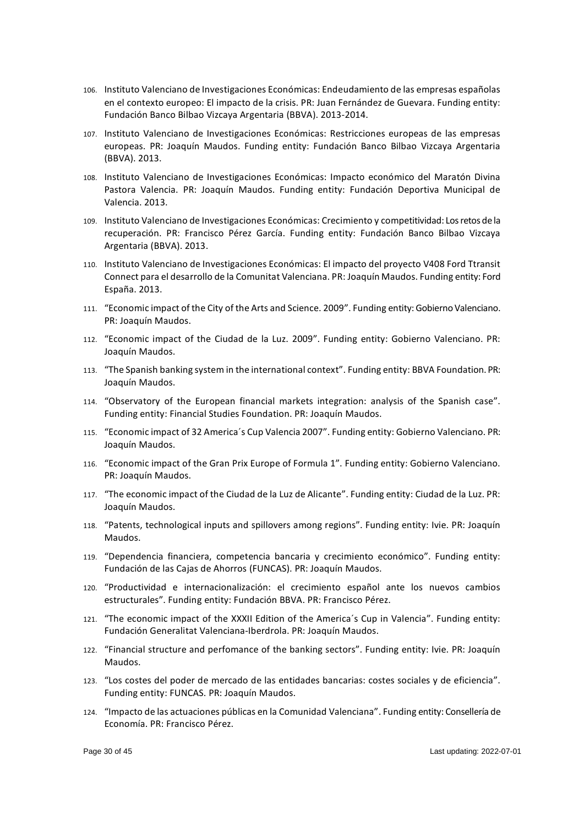- 106. Instituto Valenciano de Investigaciones Económicas: Endeudamiento de las empresas españolas en el contexto europeo: El impacto de la crisis. PR: Juan Fernández de Guevara. Funding entity: Fundación Banco Bilbao Vizcaya Argentaria (BBVA). 2013-2014.
- 107. Instituto Valenciano de Investigaciones Económicas: Restricciones europeas de las empresas europeas. PR: Joaquín Maudos. Funding entity: Fundación Banco Bilbao Vizcaya Argentaria (BBVA). 2013.
- 108. Instituto Valenciano de Investigaciones Económicas: Impacto económico del Maratón Divina Pastora Valencia. PR: Joaquín Maudos. Funding entity: Fundación Deportiva Municipal de Valencia. 2013.
- 109. Instituto Valenciano de Investigaciones Económicas: Crecimiento y competitividad: Los retos de la recuperación. PR: Francisco Pérez García. Funding entity: Fundación Banco Bilbao Vizcaya Argentaria (BBVA). 2013.
- 110. Instituto Valenciano de Investigaciones Económicas: El impacto del proyecto V408 Ford Ttransit Connect para el desarrollo de la Comunitat Valenciana. PR: Joaquín Maudos. Funding entity: Ford España. 2013.
- 111. "Economic impact of the City of the Arts and Science. 2009". Funding entity: Gobierno Valenciano. PR: Joaquín Maudos.
- 112. "Economic impact of the Ciudad de la Luz. 2009". Funding entity: Gobierno Valenciano. PR: Joaquín Maudos.
- 113. "The Spanish banking system in the international context". Funding entity: BBVA Foundation. PR: Joaquín Maudos.
- 114. "Observatory of the European financial markets integration: analysis of the Spanish case". Funding entity: Financial Studies Foundation. PR: Joaquín Maudos.
- 115. "Economic impact of 32 America´s Cup Valencia 2007". Funding entity: Gobierno Valenciano. PR: Joaquín Maudos.
- 116. "Economic impact of the Gran Prix Europe of Formula 1". Funding entity: Gobierno Valenciano. PR: Joaquín Maudos.
- 117. "The economic impact of the Ciudad de la Luz de Alicante". Funding entity: Ciudad de la Luz. PR: Joaquín Maudos.
- 118. "Patents, technological inputs and spillovers among regions". Funding entity: Ivie. PR: Joaquín Maudos.
- 119. "Dependencia financiera, competencia bancaria y crecimiento económico". Funding entity: Fundación de las Cajas de Ahorros (FUNCAS). PR: Joaquín Maudos.
- 120. "Productividad e internacionalización: el crecimiento español ante los nuevos cambios estructurales". Funding entity: Fundación BBVA. PR: Francisco Pérez.
- 121. "The economic impact of the XXXII Edition of the America´s Cup in Valencia". Funding entity: Fundación Generalitat Valenciana-Iberdrola. PR: Joaquín Maudos.
- 122. "Financial structure and perfomance of the banking sectors". Funding entity: Ivie. PR: Joaquín Maudos.
- 123. "Los costes del poder de mercado de las entidades bancarias: costes sociales y de eficiencia". Funding entity: FUNCAS. PR: Joaquín Maudos.
- 124. "Impacto de las actuaciones públicas en la Comunidad Valenciana". Funding entity: Consellería de Economía. PR: Francisco Pérez.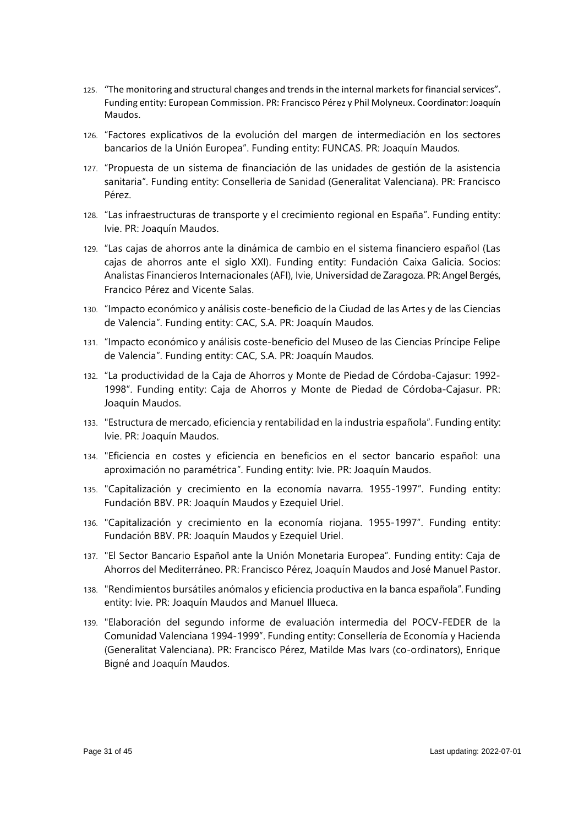- 125. "The monitoring and structural changes and trendsin the internal markets for financial services". Funding entity: European Commission. PR: Francisco Pérez y Phil Molyneux. Coordinator:Joaquín Maudos.
- 126. "Factores explicativos de la evolución del margen de intermediación en los sectores bancarios de la Unión Europea". Funding entity: FUNCAS. PR: Joaquín Maudos.
- 127. "Propuesta de un sistema de financiación de las unidades de gestión de la asistencia sanitaria". Funding entity: Conselleria de Sanidad (Generalitat Valenciana). PR: Francisco Pérez.
- 128. "Las infraestructuras de transporte y el crecimiento regional en España". Funding entity: Ivie. PR: Joaquín Maudos.
- 129. "Las cajas de ahorros ante la dinámica de cambio en el sistema financiero español (Las cajas de ahorros ante el siglo XXI). Funding entity: Fundación Caixa Galicia. Socios: Analistas Financieros Internacionales (AFI), Ivie, Universidad de Zaragoza. PR: Angel Bergés, Francico Pérez and Vicente Salas.
- 130. "Impacto económico y análisis coste-beneficio de la Ciudad de las Artes y de las Ciencias de Valencia". Funding entity: CAC, S.A. PR: Joaquín Maudos.
- 131. "Impacto económico y análisis coste-beneficio del Museo de las Ciencias Príncipe Felipe de Valencia". Funding entity: CAC, S.A. PR: Joaquín Maudos.
- 132. "La productividad de la Caja de Ahorros y Monte de Piedad de Córdoba-Cajasur: 1992- 1998". Funding entity: Caja de Ahorros y Monte de Piedad de Córdoba-Cajasur. PR: Joaquín Maudos.
- 133. "Estructura de mercado, eficiencia y rentabilidad en la industria española". Funding entity: Ivie. PR: Joaquín Maudos.
- 134. "Eficiencia en costes y eficiencia en beneficios en el sector bancario español: una aproximación no paramétrica". Funding entity: Ivie. PR: Joaquín Maudos.
- 135. "Capitalización y crecimiento en la economía navarra. 1955-1997". Funding entity: Fundación BBV. PR: Joaquín Maudos y Ezequiel Uriel.
- 136. "Capitalización y crecimiento en la economía riojana. 1955-1997". Funding entity: Fundación BBV. PR: Joaquín Maudos y Ezequiel Uriel.
- 137. "El Sector Bancario Español ante la Unión Monetaria Europea". Funding entity: Caja de Ahorros del Mediterráneo. PR: Francisco Pérez, Joaquín Maudos and José Manuel Pastor.
- 138. "Rendimientos bursátiles anómalos y eficiencia productiva en la banca española". Funding entity: Ivie. PR: Joaquín Maudos and Manuel Illueca.
- 139. "Elaboración del segundo informe de evaluación intermedia del POCV-FEDER de la Comunidad Valenciana 1994-1999". Funding entity: Consellería de Economía y Hacienda (Generalitat Valenciana). PR: Francisco Pérez, Matilde Mas Ivars (co-ordinators), Enrique Bigné and Joaquín Maudos.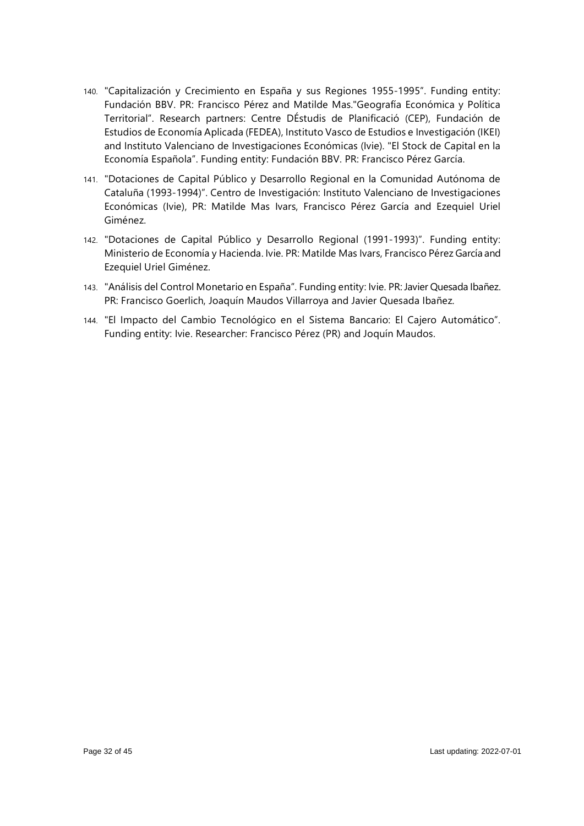- 140. "Capitalización y Crecimiento en España y sus Regiones 1955-1995". Funding entity: Fundación BBV. PR: Francisco Pérez and Matilde Mas."Geografía Económica y Política Territorial". Research partners: Centre DÉstudis de Planificació (CEP), Fundación de Estudios de Economía Aplicada (FEDEA), Instituto Vasco de Estudios e Investigación (IKEI) and Instituto Valenciano de Investigaciones Económicas (Ivie). "El Stock de Capital en la Economía Española". Funding entity: Fundación BBV. PR: Francisco Pérez García.
- 141. "Dotaciones de Capital Público y Desarrollo Regional en la Comunidad Autónoma de Cataluña (1993-1994)". Centro de Investigación: Instituto Valenciano de Investigaciones Económicas (Ivie), PR: Matilde Mas Ivars, Francisco Pérez García and Ezequiel Uriel Giménez.
- 142. "Dotaciones de Capital Público y Desarrollo Regional (1991-1993)". Funding entity: Ministerio de Economía y Hacienda. Ivie. PR: Matilde Mas Ivars, Francisco Pérez García and Ezequiel Uriel Giménez.
- 143. "Análisis del Control Monetario en España". Funding entity: Ivie. PR: Javier Quesada Ibañez. PR: Francisco Goerlich, Joaquín Maudos Villarroya and Javier Quesada Ibañez.
- 144. "El Impacto del Cambio Tecnológico en el Sistema Bancario: El Cajero Automático". Funding entity: Ivie. Researcher: Francisco Pérez (PR) and Joquín Maudos.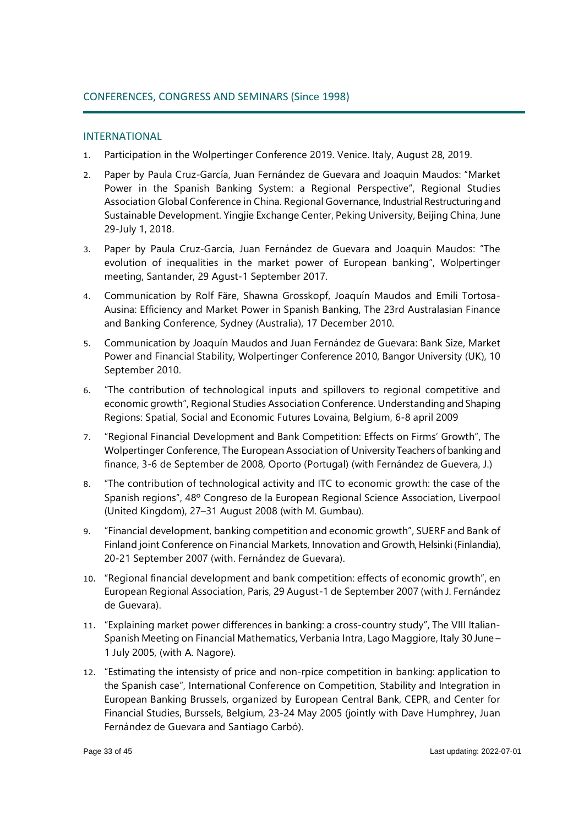# INTERNATIONAL

- 1. Participation in the Wolpertinger Conference 2019. Venice. Italy, August 28, 2019.
- 2. Paper by Paula Cruz-García, Juan Fernández de Guevara and Joaquin Maudos: "Market Power in the Spanish Banking System: a Regional Perspective", Regional Studies Association Global Conference in China. Regional Governance, Industrial Restructuring and Sustainable Development. Yingjie Exchange Center, Peking University, Beijing China, June 29-July 1, 2018.
- 3. Paper by Paula Cruz-García, Juan Fernández de Guevara and Joaquin Maudos: "The evolution of inequalities in the market power of European banking", Wolpertinger meeting, Santander, 29 Agust-1 September 2017.
- 4. Communication by Rolf Färe, Shawna Grosskopf, Joaquín Maudos and Emili Tortosa-Ausina: Efficiency and Market Power in Spanish Banking, The 23rd Australasian Finance and Banking Conference, Sydney (Australia), 17 December 2010.
- 5. Communication by Joaquín Maudos and Juan Fernández de Guevara: Bank Size, Market Power and Financial Stability, Wolpertinger Conference 2010, Bangor University (UK), 10 September 2010.
- 6. "The contribution of technological inputs and spillovers to regional competitive and economic growth", Regional Studies Association Conference. Understanding and Shaping Regions: Spatial, Social and Economic Futures Lovaina, Belgium, 6-8 april 2009
- 7. "Regional Financial Development and Bank Competition: Effects on Firms' Growth", The Wolpertinger Conference, The European Association of University Teachers of banking and finance, 3-6 de September de 2008, Oporto (Portugal) (with Fernández de Guevera, J.)
- 8. "The contribution of technological activity and ITC to economic growth: the case of the Spanish regions", 48º Congreso de la European Regional Science Association, Liverpool (United Kingdom), 27–31 August 2008 (with M. Gumbau).
- 9. "Financial development, banking competition and economic growth", SUERF and Bank of Finland joint Conference on Financial Markets, Innovation and Growth, Helsinki (Finlandia), 20-21 September 2007 (with. Fernández de Guevara).
- 10. "Regional financial development and bank competition: effects of economic growth", en European Regional Association, Paris, 29 August-1 de September 2007 (with J. Fernández de Guevara).
- 11. "Explaining market power differences in banking: a cross-country study", The VIII Italian-Spanish Meeting on Financial Mathematics, Verbania Intra, Lago Maggiore, Italy 30 June – 1 July 2005, (with A. Nagore).
- 12. "Estimating the intensisty of price and non-rpice competition in banking: application to the Spanish case", International Conference on Competition, Stability and Integration in European Banking Brussels, organized by European Central Bank, CEPR, and Center for Financial Studies, Burssels, Belgium, 23-24 May 2005 (jointly with Dave Humphrey, Juan Fernández de Guevara and Santiago Carbó).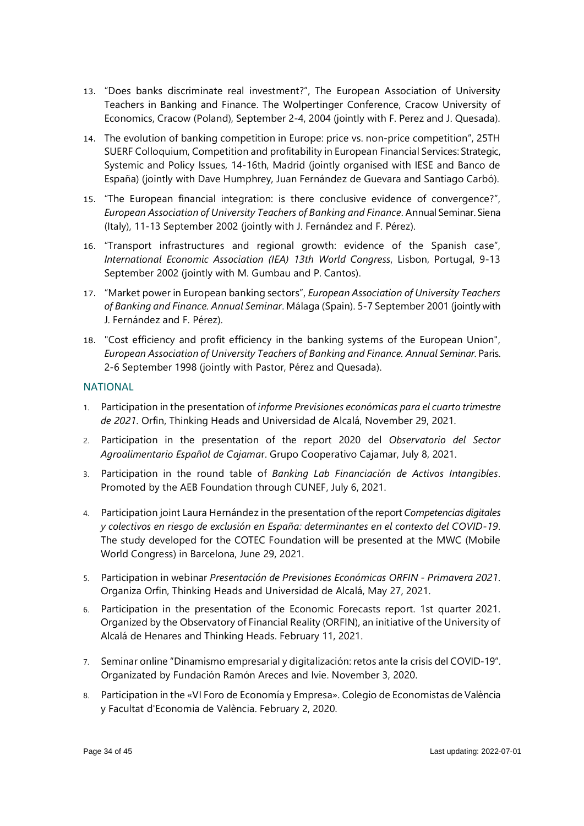- 13. "Does banks discriminate real investment?", The European Association of University Teachers in Banking and Finance. The Wolpertinger Conference, Cracow University of Economics, Cracow (Poland), September 2-4, 2004 (jointly with F. Perez and J. Quesada).
- 14. The evolution of banking competition in Europe: price vs. non-price competition", 25TH SUERF Colloquium, Competition and profitability in European Financial Services: Strategic, Systemic and Policy Issues, 14-16th, Madrid (jointly organised with IESE and Banco de España) (jointly with Dave Humphrey, Juan Fernández de Guevara and Santiago Carbó).
- 15. "The European financial integration: is there conclusive evidence of convergence?", *European Association of University Teachers of Banking and Finance*. Annual Seminar. Siena (Italy), 11-13 September 2002 (jointly with J. Fernández and F. Pérez).
- 16. "Transport infrastructures and regional growth: evidence of the Spanish case", *International Economic Association (IEA) 13th World Congress*, Lisbon, Portugal, 9-13 September 2002 (jointly with M. Gumbau and P. Cantos).
- 17. "Market power in European banking sectors", *European Association of University Teachers of Banking and Finance. Annual Seminar*. Málaga (Spain). 5-7 September 2001 (jointly with J. Fernández and F. Pérez).
- 18. "Cost efficiency and profit efficiency in the banking systems of the European Union", *European Association of University Teachers of Banking and Finance. Annual Seminar.* Paris. 2-6 September 1998 (jointly with Pastor, Pérez and Quesada).

# **NATIONAL**

- 1. Participation in the presentation of *[informe Previsiones económicas para](https://info.thinkingheads.com/informe-de-previsiones-econ%C3%B3micas-4t-2021) el cuarto trimestre [de 2021](https://info.thinkingheads.com/informe-de-previsiones-econ%C3%B3micas-4t-2021)*. Orfin, Thinking Heads and Universidad de Alcalá, November 29, 2021.
- 2. Participation in the presentation of the report 2020 del *[Observatorio del Sector](https://www.plataformatierra.es/formacion/observatorio_sector_agroalimentario_2020)  [Agroalimentario Español de Cajama](https://www.plataformatierra.es/formacion/observatorio_sector_agroalimentario_2020)*r. Grupo Cooperativo Cajamar, July 8, 2021.
- 3. Participation in the round table of *[Banking Lab Financiación de](https://www.aebanca.es/noticias/articulos/financiacion-de-activos-intangibles-banking-lab/) Activos Intangibles*. Promoted by the AEB Foundation through CUNEF, July 6, 2021.
- 4. Participation joint [Laura Hernández in the](https://cotec.es/proyecto/competencias-digitales/51a02688-a11f-4fee-b047-41288ea0e0ac) presentation of the report *Competencias digitales y colectivos en riesgo de exclusión [en España: determinantes en el contexto del COVID-19](https://cotec.es/proyecto/competencias-digitales/51a02688-a11f-4fee-b047-41288ea0e0ac)*. The study developed for the COTEC Foundation will be presented at the MWC (Mobile World Congress) in Barcelona, June 29, 2021.
- 5. Participation in webinar *Presentación de [Previsiones Económicas ORFIN -](https://orfin.es/) Primavera 2021*. Organiza Orfin, Thinking Heads and Universidad de Alcalá, May 27, 2021.
- 6. Participation in the presentation of the Economic Forecasts report. 1st quarter 2021. Organized by the Observatory of Financial Reality (ORFIN), an initiative of the University of Alcalá de Henares and Thinking Heads. February 11, 2021.
- 7. Seminar online "Dinamismo empresarial y digitalización: retos ante la crisis del COVID-19". Organizated by Fundación Ramón Areces and Ivie. November 3, 2020.
- 8. Participation in the «VI Foro de Economía y Empresa». Colegio de Economistas de València y Facultat d'Economia de València. February 2, 2020.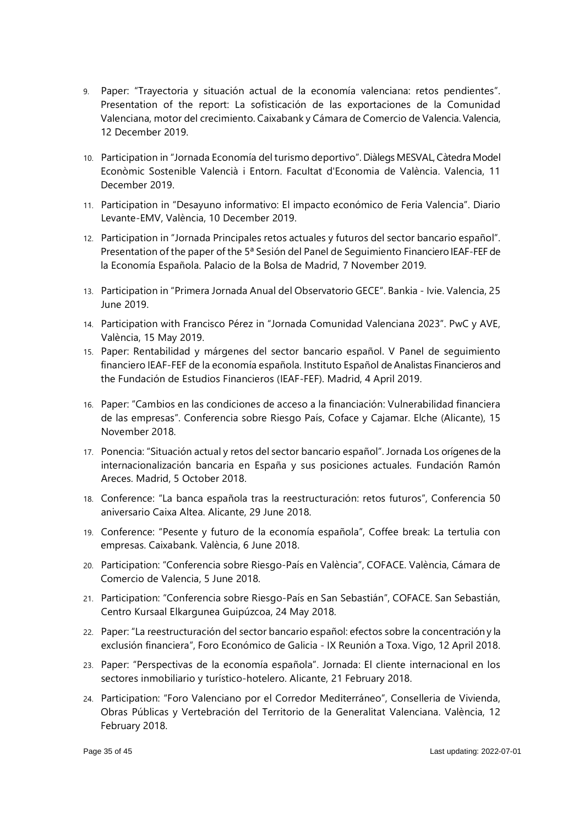- 9. Paper: "Trayectoria y situación actual de la economía valenciana: retos pendientes". Presentation of the report: La sofisticación de las exportaciones de la Comunidad Valenciana, motor del crecimiento. Caixabank y Cámara de Comercio de Valencia. Valencia, 12 December 2019.
- 10. Participation in "Jornada Economía del turismo deportivo". Diàlegs MESVAL, Càtedra Model Econòmic Sostenible Valencià i Entorn. Facultat d'Economia de València. Valencia, 11 December 2019.
- 11. Participation in "Desayuno informativo: El impacto económico de Feria Valencia". Diario Levante-EMV, València, 10 December 2019.
- 12. Participation in "Jornada Principales retos actuales y futuros del sector bancario español". Presentation of the paper of the 5ª Sesión del Panel de Seguimiento Financiero IEAF-FEF de la Economía Española. Palacio de la Bolsa de Madrid, 7 November 2019.
- 13. Participation in "Primera Jornada Anual del Observatorio GECE". Bankia Ivie. Valencia, 25 June 2019.
- 14. Participation with Francisco Pérez in "Jornada Comunidad Valenciana 2023". PwC y AVE, València, 15 May 2019.
- 15. Paper: Rentabilidad y márgenes del sector bancario español. V Panel de seguimiento financiero IEAF-FEF de la economía española. Instituto Español de Analistas Financieros and the Fundación de Estudios Financieros (IEAF-FEF). Madrid, 4 April 2019.
- 16. Paper: "Cambios en las condiciones de acceso a la financiación: Vulnerabilidad financiera de las empresas". Conferencia sobre Riesgo País, Coface y Cajamar. Elche (Alicante), 15 November 2018.
- 17. Ponencia: "Situación actual y retos del sector bancario español". Jornada Los orígenes de la internacionalización bancaria en España y sus posiciones actuales. Fundación Ramón Areces. Madrid, 5 October 2018.
- 18. Conference: "La banca española tras la reestructuración: retos futuros", Conferencia 50 aniversario Caixa Altea. Alicante, 29 June 2018.
- 19. Conference: "Pesente y futuro de la economía española", Coffee break: La tertulia con empresas. Caixabank. València, 6 June 2018.
- 20. Participation: "Conferencia sobre Riesgo-País en València", COFACE. València, Cámara de Comercio de Valencia, 5 June 2018.
- 21. Participation: "Conferencia sobre Riesgo-País en San Sebastián", COFACE. San Sebastián, Centro Kursaal Elkargunea Guipúzcoa, 24 May 2018.
- 22. Paper: "La reestructuración del sector bancario español: efectos sobre la concentración y la exclusión financiera", Foro Económico de Galicia - IX Reunión a Toxa. Vigo, 12 April 2018.
- 23. Paper: "Perspectivas de la economía española". Jornada: El cliente internacional en los sectores inmobiliario y turístico-hotelero. Alicante, 21 February 2018.
- 24. Participation: "Foro Valenciano por el Corredor Mediterráneo", Conselleria de Vivienda, Obras Públicas y Vertebración del Territorio de la Generalitat Valenciana. València, 12 February 2018.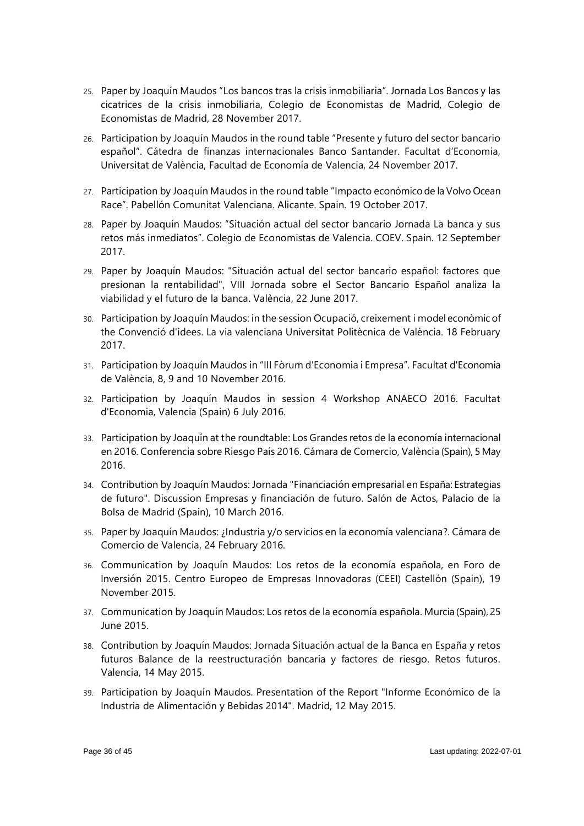- 25. Paper by Joaquín Maudos "Los bancos tras la crisis inmobiliaria". Jornada Los Bancos y las cicatrices de la crisis inmobiliaria, Colegio de Economistas de Madrid, Colegio de Economistas de Madrid, 28 November 2017.
- 26. Participation by Joaquín Maudos in the round table "Presente y futuro del sector bancario español". Cátedra de finanzas internacionales Banco Santander. Facultat d'Economia, Universitat de València, Facultad de Economía de Valencia, 24 November 2017.
- 27. Participation by Joaquín Maudos in the round table "Impacto económico de la Volvo Ocean Race". Pabellón Comunitat Valenciana. Alicante. Spain. 19 October 2017.
- 28. Paper by Joaquín Maudos: "Situación actual del sector bancario Jornada La banca y sus retos más inmediatos". Colegio de Economistas de Valencia. COEV. Spain. 12 September 2017.
- 29. Paper by Joaquín Maudos: "Situación actual del sector bancario español: factores que presionan la rentabilidad", VIII Jornada sobre el Sector Bancario Español analiza la viabilidad y el futuro de la banca. València, 22 June 2017.
- 30. Participation by Joaquín Maudos: in the session Ocupació, creixement i model econòmic of the Convenció d'idees. La via valenciana Universitat Politècnica de València. 18 February 2017.
- 31. Participation by Joaquín Maudos in "III Fòrum d'Economia i Empresa". Facultat d'Economia de València, 8, 9 and 10 November 2016.
- 32. Participation by Joaquín Maudos in session 4 Workshop ANAECO 2016. Facultat d'Economia, Valencia (Spain) 6 July 2016.
- 33. Participation by Joaquín at the roundtable: Los Grandes retos de la economía internacional en 2016. Conferencia sobre Riesgo País 2016. Cámara de Comercio, València (Spain), 5 May 2016.
- 34. Contribution by Joaquín Maudos: Jornada "Financiación empresarial en España: Estrategias de futuro". Discussion Empresas y financiación de futuro. Salón de Actos, Palacio de la Bolsa de Madrid (Spain), 10 March 2016.
- 35. Paper by Joaquín Maudos: ¿Industria y/o servicios en la economía valenciana?. Cámara de Comercio de Valencia, 24 February 2016.
- 36. Communication by Joaquín Maudos: Los retos de la economía española, en Foro de Inversión 2015. Centro Europeo de Empresas Innovadoras (CEEI) Castellón (Spain), 19 November 2015.
- 37. Communication by Joaquín Maudos: Los retos de la economía española. Murcia (Spain), 25 June 2015.
- 38. Contribution by Joaquín Maudos: Jornada Situación actual de la Banca en España y retos futuros Balance de la reestructuración bancaria y factores de riesgo. Retos futuros. Valencia, 14 May 2015.
- 39. Participation by Joaquín Maudos. Presentation of the Report "Informe Económico de la Industria de Alimentación y Bebidas 2014". Madrid, 12 May 2015.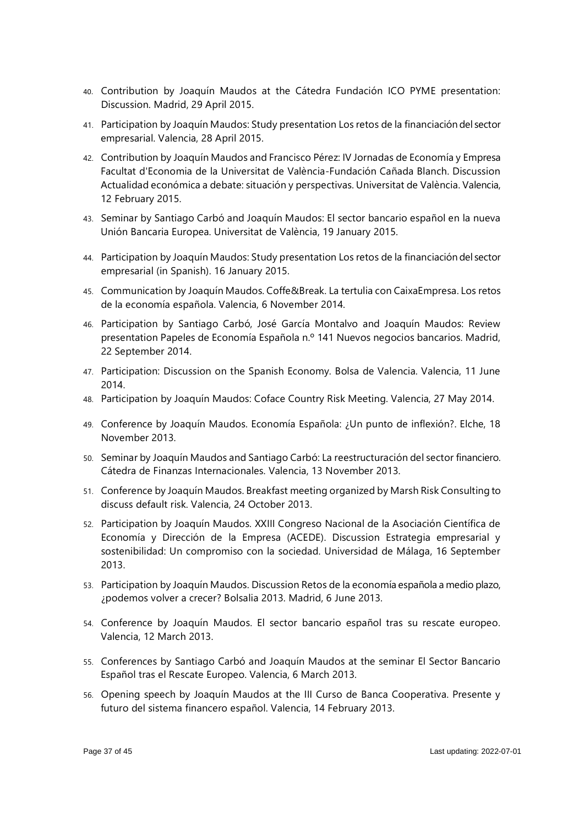- 40. Contribution by Joaquín Maudos at the Cátedra Fundación ICO PYME presentation: Discussion. Madrid, 29 April 2015.
- 41. Participation by Joaquín Maudos: Study presentation Los retos de la financiación del sector empresarial. Valencia, 28 April 2015.
- 42. Contribution by Joaquín Maudos and Francisco Pérez: IV Jornadas de Economía y Empresa Facultat d'Economia de la Universitat de València-Fundación Cañada Blanch. Discussion Actualidad económica a debate: situación y perspectivas. Universitat de València. Valencia, 12 February 2015.
- 43. Seminar by Santiago Carbó and Joaquín Maudos: El sector bancario español en la nueva Unión Bancaria Europea. Universitat de València, 19 January 2015.
- 44. Participation by Joaquín Maudos: Study presentation Los retos de la financiación del sector empresarial (in Spanish). 16 January 2015.
- 45. Communication by Joaquín Maudos. Coffe&Break. La tertulia con CaixaEmpresa. Los retos de la economía española. Valencia, 6 November 2014.
- 46. Participation by Santiago Carbó, José García Montalvo and Joaquín Maudos: Review presentation Papeles de Economía Española n.º 141 Nuevos negocios bancarios. Madrid, 22 September 2014.
- 47. Participation: Discussion on the Spanish Economy. Bolsa de Valencia. Valencia, 11 June 2014.
- 48. Participation by Joaquín Maudos: Coface Country Risk Meeting. Valencia, 27 May 2014.
- 49. Conference by Joaquín Maudos. Economía Española: ¿Un punto de inflexión?. Elche, 18 November 2013.
- 50. Seminar by Joaquín Maudos and Santiago Carbó: La reestructuración del sector financiero. Cátedra de Finanzas Internacionales. Valencia, 13 November 2013.
- 51. Conference by Joaquín Maudos. Breakfast meeting organized by Marsh Risk Consulting to discuss default risk. Valencia, 24 October 2013.
- 52. Participation by Joaquín Maudos. XXIII Congreso Nacional de la Asociación Científica de Economía y Dirección de la Empresa (ACEDE). Discussion Estrategia empresarial y sostenibilidad: Un compromiso con la sociedad. Universidad de Málaga, 16 September 2013.
- 53. Participation by Joaquín Maudos. Discussion Retos de la economía española a medio plazo, ¿podemos volver a crecer? Bolsalia 2013. Madrid, 6 June 2013.
- 54. Conference by Joaquín Maudos. El sector bancario español tras su rescate europeo. Valencia, 12 March 2013.
- 55. Conferences by Santiago Carbó and Joaquín Maudos at the seminar El Sector Bancario Español tras el Rescate Europeo. Valencia, 6 March 2013.
- 56. Opening speech by Joaquín Maudos at the III Curso de Banca Cooperativa. Presente y futuro del sistema financero español. Valencia, 14 February 2013.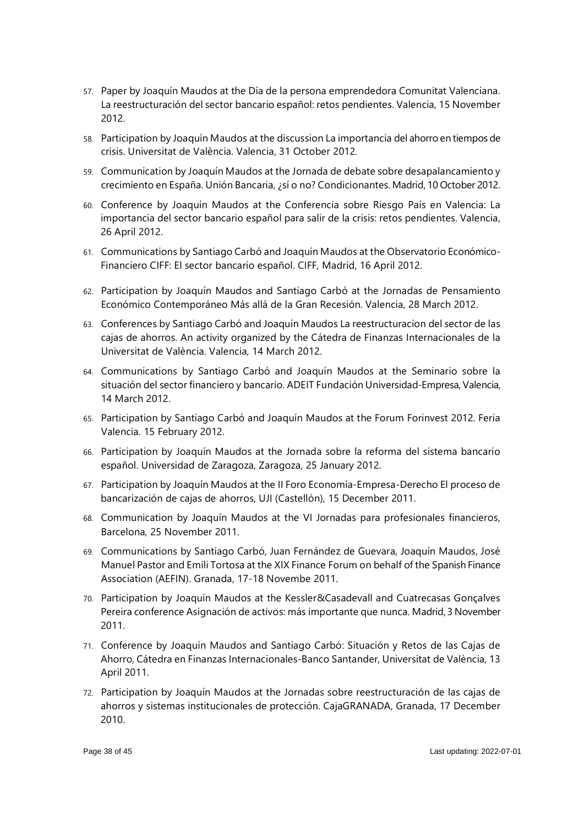- 57. Paper by Joaquín Maudos at the Día de la persona emprendedora Comunitat Valenciana. La reestructuración del sector bancario español: retos pendientes. Valencia, 15 November 2012.
- 58. Participation by Joaquín Maudos at the discussion La importancia del ahorro en tiempos de crisis. Universitat de València. Valencia, 31 October 2012.
- 59. Communication by Joaquín Maudos at the Jornada de debate sobre desapalancamiento y crecimiento en España. Unión Bancaria, ¿sí o no? Condicionantes. Madrid, 10 October 2012.
- 60. Conference by Joaquín Maudos at the Conferencia sobre Riesgo País en Valencia: La importancia del sector bancario español para salir de la crisis: retos pendientes. Valencia, 26 April 2012.
- 61. Communications by Santiago Carbó and Joaquín Maudos at the Observatorio Económico-Financiero CIFF: El sector bancario español. CIFF, Madrid, 16 April 2012.
- 62. Participation by Joaquín Maudos and Santiago Carbó at the Jornadas de Pensamiento Económico Contemporáneo Más allá de la Gran Recesión. Valencia, 28 March 2012.
- 63. Conferences by Santiago Carbó and Joaquín Maudos La reestructuracion del sector de las cajas de ahorros. An activity organized by the Cátedra de Finanzas Internacionales de la Universitat de València. Valencia, 14 March 2012.
- 64. Communications by Santiago Carbó and Joaquín Maudos at the Seminario sobre la situación del sector financiero y bancario. ADEIT Fundación Universidad-Empresa, Valencia, 14 March 2012.
- 65. Participation by Santiago Carbó and Joaquín Maudos at the Forum Forinvest 2012. Feria Valencia. 15 February 2012.
- 66. Participation by Joaquín Maudos at the Jornada sobre la reforma del sistema bancario español. Universidad de Zaragoza, Zaragoza, 25 January 2012.
- 67. Participation by Joaquín Maudos at the II Foro Economía-Empresa-Derecho El proceso de bancarización de cajas de ahorros, UJI (Castellón), 15 December 2011.
- 68. Communication by Joaquín Maudos at the VI Jornadas para profesionales financieros, Barcelona, 25 November 2011.
- 69. Communications by Santiago Carbó, Juan Fernández de Guevara, Joaquín Maudos, José Manuel Pastor and Emili Tortosa at the XIX Finance Forum on behalf of the Spanish Finance Association (AEFIN). Granada, 17-18 Novembe 2011.
- 70. Participation by Joaquín Maudos at the Kessler&Casadevall and Cuatrecasas Gonçalves Pereira conference Asignación de activos: más importante que nunca. Madrid, 3 November 2011.
- 71. Conference by Joaquín Maudos and Santiago Carbó: Situación y Retos de las Cajas de Ahorro, Cátedra en Finanzas Internacionales-Banco Santander, Universitat de València, 13 April 2011.
- 72. Participation by Joaquín Maudos at the Jornadas sobre reestructuración de las cajas de ahorros y sistemas institucionales de protección. CajaGRANADA, Granada, 17 December 2010.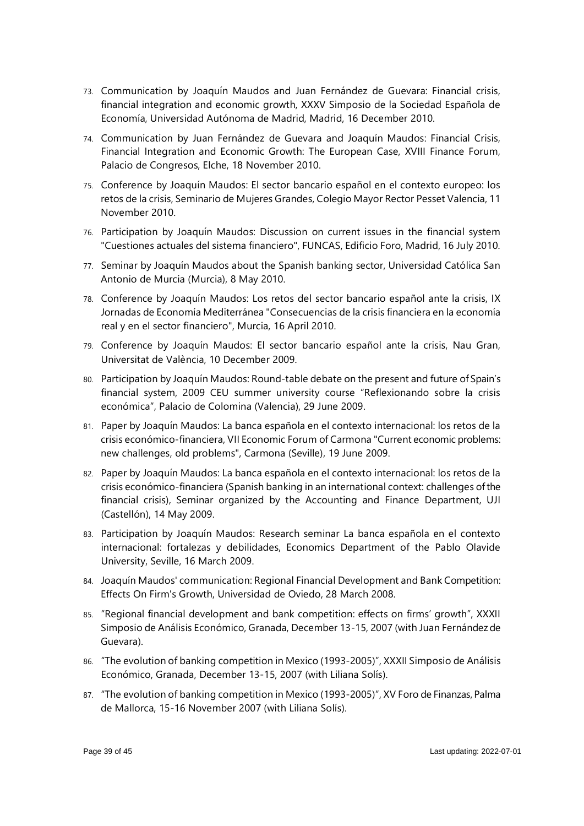- 73. Communication by Joaquín Maudos and Juan Fernández de Guevara: Financial crisis, financial integration and economic growth, XXXV Simposio de la Sociedad Española de Economía, Universidad Autónoma de Madrid, Madrid, 16 December 2010.
- 74. Communication by Juan Fernández de Guevara and Joaquín Maudos: Financial Crisis, Financial Integration and Economic Growth: The European Case, XVIII Finance Forum, Palacio de Congresos, Elche, 18 November 2010.
- 75. Conference by Joaquín Maudos: El sector bancario español en el contexto europeo: los retos de la crisis, Seminario de Mujeres Grandes, Colegio Mayor Rector Pesset Valencia, 11 November 2010.
- 76. Participation by Joaquín Maudos: Discussion on current issues in the financial system "Cuestiones actuales del sistema financiero", FUNCAS, Edificio Foro, Madrid, 16 July 2010.
- 77. Seminar by Joaquín Maudos about the Spanish banking sector, Universidad Católica San Antonio de Murcia (Murcia), 8 May 2010.
- 78. Conference by Joaquín Maudos: Los retos del sector bancario español ante la crisis, IX Jornadas de Economía Mediterránea "Consecuencias de la crisis financiera en la economía real y en el sector financiero", Murcia, 16 April 2010.
- 79. Conference by Joaquín Maudos: El sector bancario español ante la crisis, Nau Gran, Universitat de València, 10 December 2009.
- 80. Participation by Joaquín Maudos: Round-table debate on the present and future of Spain's financial system, 2009 CEU summer university course "Reflexionando sobre la crisis económica", Palacio de Colomina (Valencia), 29 June 2009.
- 81. Paper by Joaquín Maudos: La banca española en el contexto internacional: los retos de la crisis económico-financiera, VII Economic Forum of Carmona "Current economic problems: new challenges, old problems", Carmona (Seville), 19 June 2009.
- 82. Paper by Joaquín Maudos: La banca española en el contexto internacional: los retos de la crisis económico-financiera (Spanish banking in an international context: challenges of the financial crisis), Seminar organized by the Accounting and Finance Department, UJI (Castellón), 14 May 2009.
- 83. Participation by Joaquín Maudos: Research seminar La banca española en el contexto internacional: fortalezas y debilidades, Economics Department of the Pablo Olavide University, Seville, 16 March 2009.
- 84. Joaquín Maudos' communication: Regional Financial Development and Bank Competition: Effects On Firm's Growth, Universidad de Oviedo, 28 March 2008.
- 85. "Regional financial development and bank competition: effects on firms' growth", XXXII Simposio de Análisis Económico, Granada, December 13-15, 2007 (with Juan Fernández de Guevara).
- 86. "The evolution of banking competition in Mexico (1993-2005)", XXXII Simposio de Análisis Económico, Granada, December 13-15, 2007 (with Liliana Solís).
- 87. "The evolution of banking competition in Mexico (1993-2005)", XV Foro de Finanzas, Palma de Mallorca, 15-16 November 2007 (with Liliana Solís).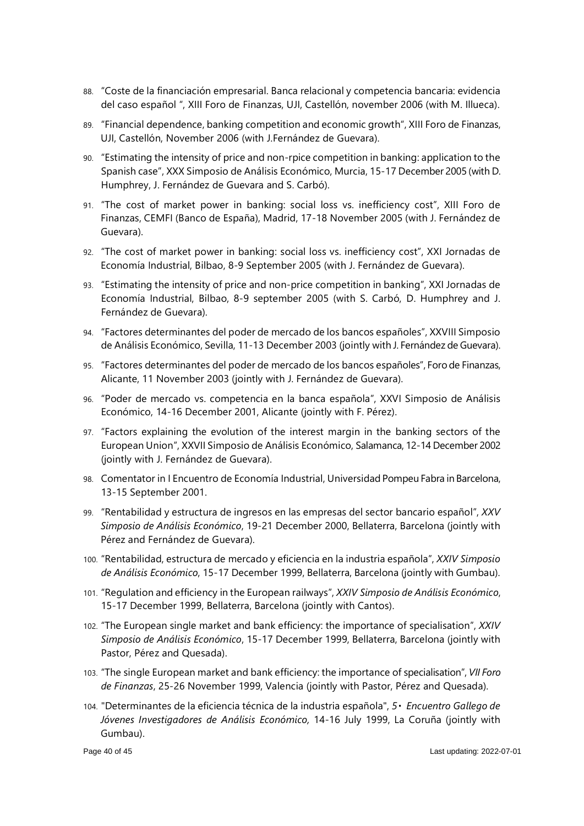- 88. "Coste de la financiación empresarial. Banca relacional y competencia bancaria: evidencia del caso español ", XIII Foro de Finanzas, UJI, Castellón, november 2006 (with M. Illueca).
- 89. "Financial dependence, banking competition and economic growth", XIII Foro de Finanzas, UJI, Castellón, November 2006 (with J.Fernández de Guevara).
- 90. "Estimating the intensity of price and non-rpice competition in banking: application to the Spanish case", XXX Simposio de Análisis Económico, Murcia, 15-17 December 2005 (with D. Humphrey, J. Fernández de Guevara and S. Carbó).
- 91. "The cost of market power in banking: social loss vs. inefficiency cost", XIII Foro de Finanzas, CEMFI (Banco de España), Madrid, 17-18 November 2005 (with J. Fernández de Guevara).
- 92. "The cost of market power in banking: social loss vs. inefficiency cost", XXI Jornadas de Economía Industrial, Bilbao, 8-9 September 2005 (with J. Fernández de Guevara).
- 93. "Estimating the intensity of price and non-price competition in banking", XXI Jornadas de Economía Industrial, Bilbao, 8-9 september 2005 (with S. Carbó, D. Humphrey and J. Fernández de Guevara).
- 94. "Factores determinantes del poder de mercado de los bancos españoles", XXVIII Simposio de Análisis Económico, Sevilla, 11-13 December 2003 (jointly with J. Fernández de Guevara).
- 95. "Factores determinantes del poder de mercado de los bancos españoles", Foro de Finanzas, Alicante, 11 November 2003 (jointly with J. Fernández de Guevara).
- 96. "Poder de mercado vs. competencia en la banca española", XXVI Simposio de Análisis Económico, 14-16 December 2001, Alicante (jointly with F. Pérez).
- 97. "Factors explaining the evolution of the interest margin in the banking sectors of the European Union", XXVII Simposio de Análisis Económico, Salamanca, 12-14 December 2002 (jointly with J. Fernández de Guevara).
- 98. Comentator in I Encuentro de Economía Industrial, Universidad Pompeu Fabra in Barcelona, 13-15 September 2001.
- 99. "Rentabilidad y estructura de ingresos en las empresas del sector bancario español", *XXV Simposio de Análisis Económico*, 19-21 December 2000, Bellaterra, Barcelona (jointly with Pérez and Fernández de Guevara).
- 100. "Rentabilidad, estructura de mercado y eficiencia en la industria española", *XXIV Simposio de Análisis Económico*, 15-17 December 1999, Bellaterra, Barcelona (jointly with Gumbau).
- 101. "Regulation and efficiency in the European railways", *XXIV Simposio de Análisis Económico*, 15-17 December 1999, Bellaterra, Barcelona (jointly with Cantos).
- 102. "The European single market and bank efficiency: the importance of specialisation", *XXIV Simposio de Análisis Económico*, 15-17 December 1999, Bellaterra, Barcelona (jointly with Pastor, Pérez and Quesada).
- 103. "The single European market and bank efficiency: the importance of specialisation", *VII Foro de Finanzas*, 25-26 November 1999, Valencia (jointly with Pastor, Pérez and Quesada).
- 104. "Determinantes de la eficiencia técnica de la industria española", *5 Encuentro Gallego de Jóvenes Investigadores de Análisis Económico,* 14-16 July 1999, La Coruña (jointly with Gumbau).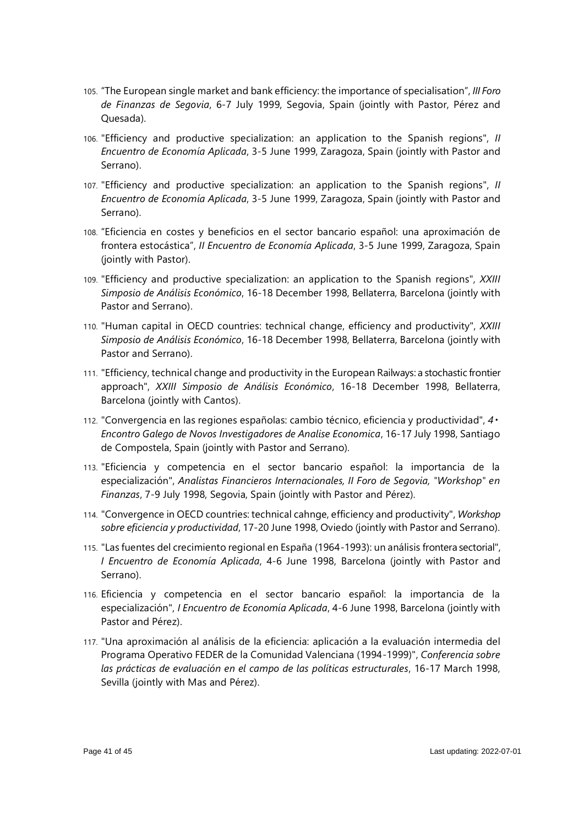- 105. "The European single market and bank efficiency: the importance of specialisation", *III Foro de Finanzas de Segovia*, 6-7 July 1999, Segovia, Spain (jointly with Pastor, Pérez and Quesada).
- 106. "Efficiency and productive specialization: an application to the Spanish regions", *II Encuentro de Economía Aplicada*, 3-5 June 1999, Zaragoza, Spain (jointly with Pastor and Serrano).
- 107. "Efficiency and productive specialization: an application to the Spanish regions", *II Encuentro de Economía Aplicada*, 3-5 June 1999, Zaragoza, Spain (jointly with Pastor and Serrano).
- 108. "Eficiencia en costes y beneficios en el sector bancario español: una aproximación de frontera estocástica", *II Encuentro de Economía Aplicada*, 3-5 June 1999, Zaragoza, Spain (jointly with Pastor).
- 109. "Efficiency and productive specialization: an application to the Spanish regions", *XXIII Simposio de Análisis Económico*, 16-18 December 1998, Bellaterra, Barcelona (jointly with Pastor and Serrano).
- 110. "Human capital in OECD countries: technical change, efficiency and productivity", *XXIII Simposio de Análisis Económico*, 16-18 December 1998, Bellaterra, Barcelona (jointly with Pastor and Serrano).
- 111. "Efficiency, technical change and productivity in the European Railways: a stochastic frontier approach", *XXIII Simposio de Análisis Económico*, 16-18 December 1998, Bellaterra, Barcelona (jointly with Cantos).
- 112. "Convergencia en las regiones españolas: cambio técnico, eficiencia y productividad", *4 Encontro Galego de Novos Investigadores de Analise Economica*, 16-17 July 1998, Santiago de Compostela, Spain (jointly with Pastor and Serrano).
- 113. "Eficiencia y competencia en el sector bancario español: la importancia de la especialización", *Analistas Financieros Internacionales, II Foro de Segovia, "Workshop" en Finanzas*, 7-9 July 1998, Segovia, Spain (jointly with Pastor and Pérez).
- 114. "Convergence in OECD countries: technical cahnge, efficiency and productivity", *Workshop sobre eficiencia y productividad*, 17-20 June 1998, Oviedo (jointly with Pastor and Serrano).
- 115. "Las fuentes del crecimiento regional en España (1964-1993): un análisis frontera sectorial", *I Encuentro de Economía Aplicada*, 4-6 June 1998, Barcelona (jointly with Pastor and Serrano).
- 116. Eficiencia y competencia en el sector bancario español: la importancia de la especialización", *I Encuentro de Economía Aplicada*, 4-6 June 1998, Barcelona (jointly with Pastor and Pérez).
- 117. "Una aproximación al análisis de la eficiencia: aplicación a la evaluación intermedia del Programa Operativo FEDER de la Comunidad Valenciana (1994-1999)", *Conferencia sobre las prácticas de evaluación en el campo de las políticas estructurales*, 16-17 March 1998, Sevilla (jointly with Mas and Pérez).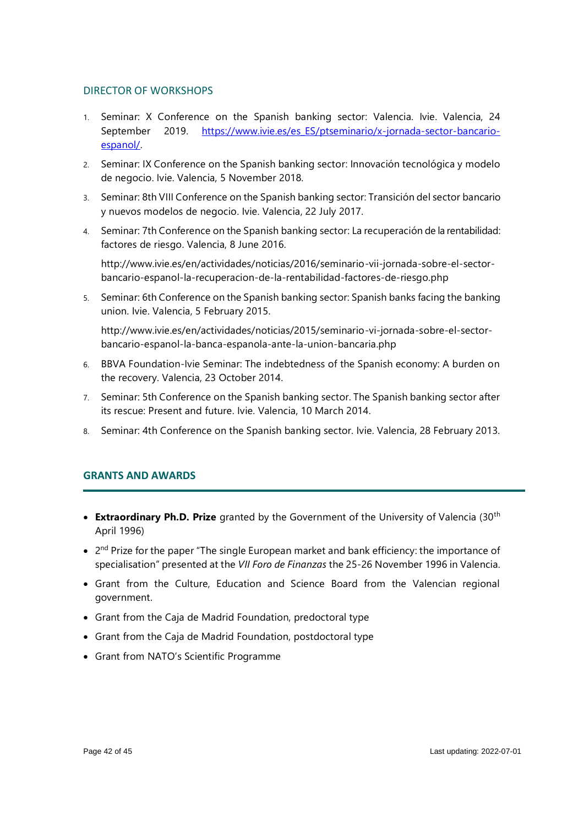#### DIRECTOR OF WORKSHOPS

- 1. Seminar: X Conference on the Spanish banking sector: Valencia. Ivie. Valencia, 24 September 2019. [https://www.ivie.es/es\\_ES/ptseminario/x-jornada-sector-bancario](https://www.ivie.es/es_ES/ptseminario/x-jornada-sector-bancario-espanol/)[espanol/.](https://www.ivie.es/es_ES/ptseminario/x-jornada-sector-bancario-espanol/)
- 2. Seminar: IX Conference on the Spanish banking sector: Innovación tecnológica y modelo de negocio. Ivie. Valencia, 5 November 2018.
- 3. Seminar: 8th VIII Conference on the Spanish banking sector: Transición del sector bancario y nuevos modelos de negocio. Ivie. Valencia, 22 July 2017.
- 4. Seminar: 7th Conference on the Spanish banking sector: La recuperación de la rentabilidad: factores de riesgo. Valencia, 8 June 2016.

http://www.ivie.es/en/actividades/noticias/2016/seminario-vii-jornada-sobre-el-sectorbancario-espanol-la-recuperacion-de-la-rentabilidad-factores-de-riesgo.php

5. Seminar: 6th Conference on the Spanish banking sector: Spanish banks facing the banking union. Ivie. Valencia, 5 February 2015.

[http://www.ivie.es/en/actividades/noticias/2015/seminario-vi-jornada-sobre-el-sector](http://www.ivie.es/en/actividades/noticias/2015/seminario-vi-jornada-sobre-el-sector-bancario-espanol-la-banca-espanola-ante-la-union-bancaria.php)[bancario-espanol-la-banca-espanola-ante-la-union-bancaria.php](http://www.ivie.es/en/actividades/noticias/2015/seminario-vi-jornada-sobre-el-sector-bancario-espanol-la-banca-espanola-ante-la-union-bancaria.php)

- 6. BBVA Foundation-Ivie Seminar: The indebtedness of the Spanish economy: A burden on the recovery. Valencia, 23 October 2014.
- 7. Seminar: 5th Conference on the Spanish banking sector. The Spanish banking sector after its rescue: Present and future. Ivie. Valencia, 10 March 2014.
- 8. Seminar: 4th Conference on the Spanish banking sector. Ivie. Valencia, 28 February 2013.

# **GRANTS AND AWARDS**

- **Extraordinary Ph.D. Prize** granted by the Government of the University of Valencia (30th April 1996)
- $\bullet$  2<sup>nd</sup> Prize for the paper "The single European market and bank efficiency: the importance of specialisation" presented at the *VII Foro de Finanzas* the 25-26 November 1996 in Valencia.
- Grant from the Culture, Education and Science Board from the Valencian regional government.
- Grant from the Caja de Madrid Foundation, predoctoral type
- Grant from the Caja de Madrid Foundation, postdoctoral type
- Grant from NATO's Scientific Programme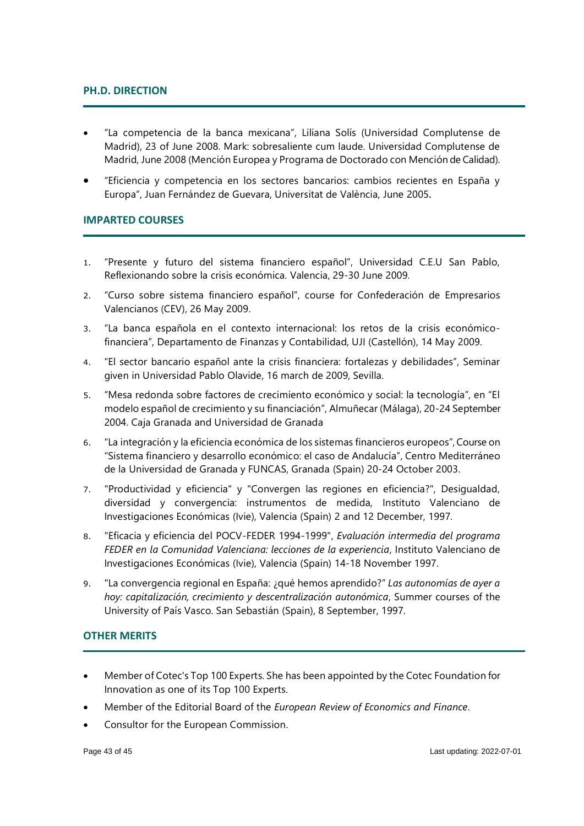# **PH.D. DIRECTION**

- "La competencia de la banca mexicana", Liliana Solís (Universidad Complutense de Madrid), 23 of June 2008. Mark: sobresaliente cum laude. Universidad Complutense de Madrid, June 2008 (Mención Europea y Programa de Doctorado con Mención de Calidad).
- "Eficiencia y competencia en los sectores bancarios: cambios recientes en España y Europa", Juan Fernández de Guevara, Universitat de València, June 2005.

# **IMPARTED COURSES**

- 1. "Presente y futuro del sistema financiero español", Universidad C.E.U San Pablo, Reflexionando sobre la crisis económica. Valencia, 29-30 June 2009.
- 2. "Curso sobre sistema financiero español", course for Confederación de Empresarios Valencianos (CEV), 26 May 2009.
- 3. "La banca española en el contexto internacional: los retos de la crisis económicofinanciera", Departamento de Finanzas y Contabilidad, UJI (Castellón), 14 May 2009.
- 4. "El sector bancario español ante la crisis financiera: fortalezas y debilidades", Seminar given in Universidad Pablo Olavide, 16 march de 2009, Sevilla.
- 5. "Mesa redonda sobre factores de crecimiento económico y social: la tecnología", en "El modelo español de crecimiento y su financiación", Almuñecar (Málaga), 20-24 September 2004. Caja Granada and Universidad de Granada
- 6. "La integración y la eficiencia económica de los sistemas financieros europeos", Course on "Sistema financiero y desarrollo económico: el caso de Andalucía", Centro Mediterráneo de la Universidad de Granada y FUNCAS, Granada (Spain) 20-24 October 2003.
- 7. "Productividad y eficiencia" y "Convergen las regiones en eficiencia?", Desigualdad, diversidad y convergencia: instrumentos de medida, Instituto Valenciano de Investigaciones Económicas (Ivie), Valencia (Spain) 2 and 12 December, 1997.
- 8. "Eficacia y eficiencia del POCV-FEDER 1994-1999", *Evaluación intermedia del programa FEDER en la Comunidad Valenciana: lecciones de la experiencia*, Instituto Valenciano de Investigaciones Económicas (Ivie), Valencia (Spain) 14-18 November 1997.
- 9. "La convergencia regional en España: ¿qué hemos aprendido?" *Las autonomías de ayer a hoy: capitalización, crecimiento y descentralización autonómica*, Summer courses of the University of País Vasco. San Sebastián (Spain), 8 September, 1997.

#### **OTHER MERITS**

- Member of Cotec's Top 100 Experts. She has been appointed by the Cotec Foundation for Innovation as one of its Top 100 Experts.
- Member of the Editorial Board of the *European Review of Economics and Finance*.
- Consultor for the European Commission.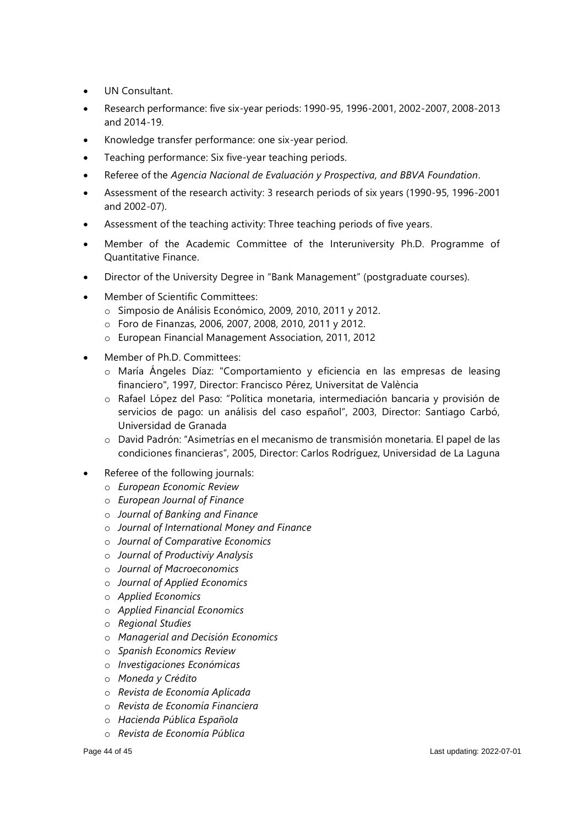- UN Consultant.
- Research performance: five six-year periods: 1990-95, 1996-2001, 2002-2007, 2008-2013 and 2014-19.
- Knowledge transfer performance: one six-year period.
- Teaching performance: Six five-year teaching periods.
- Referee of the *Agencia Nacional de Evaluación y Prospectiva, and BBVA Foundation*.
- Assessment of the research activity: 3 research periods of six years (1990-95, 1996-2001 and 2002-07).
- Assessment of the teaching activity: Three teaching periods of five years.
- Member of the Academic Committee of the Interuniversity Ph.D. Programme of Quantitative Finance.
- Director of the University Degree in "Bank Management" (postgraduate courses).
- Member of Scientific Committees:
	- o Simposio de Análisis Económico, 2009, 2010, 2011 y 2012.
	- o Foro de Finanzas, 2006, 2007, 2008, 2010, 2011 y 2012.
	- o European Financial Management Association, 2011, 2012
- Member of Ph.D. Committees:
	- o María Ángeles Díaz: "Comportamiento y eficiencia en las empresas de leasing financiero", 1997, Director: Francisco Pérez, Universitat de València
	- o Rafael López del Paso: "Política monetaria, intermediación bancaria y provisión de servicios de pago: un análisis del caso español", 2003, Director: Santiago Carbó, Universidad de Granada
	- o David Padrón: "Asimetrías en el mecanismo de transmisión monetaria. El papel de las condiciones financieras", 2005, Director: Carlos Rodríguez, Universidad de La Laguna
- Referee of the following journals:
	- o *European Economic Review*
	- o *European Journal of Finance*
	- o *Journal of Banking and Finance*
	- o *Journal of International Money and Finance*
	- o *Journal of Comparative Economics*
	- o *Journal of Productiviy Analysis*
	- o *Journal of Macroeconomics*
	- o *Journal of Applied Economics*
	- o *Applied Economics*
	- o *Applied Financial Economics*
	- o *Regional Studies*
	- o *Managerial and Decisión Economics*
	- o *Spanish Economics Review*
	- o *Investigaciones Económicas*
	- o *Moneda y Crédito*
	- o *Revista de Economía Aplicada*
	- o *Revista de Economía Financiera*
	- o *Hacienda Pública Española*
	- o *Revista de Economía Pública*